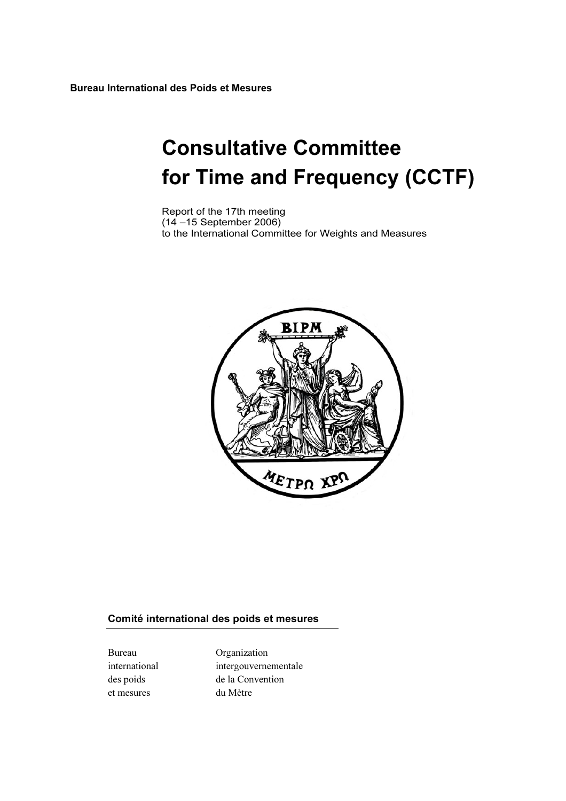Bureau International des Poids et Mesures

# Consultative Committee for Time and Frequency (CCTF)

Report of the 17th meeting (14 –15 September 2006) to the International Committee for Weights and Measures



#### Comité international des poids et mesures

et mesures du Mètre

Bureau Organization international intergouvernementale des poids de la Convention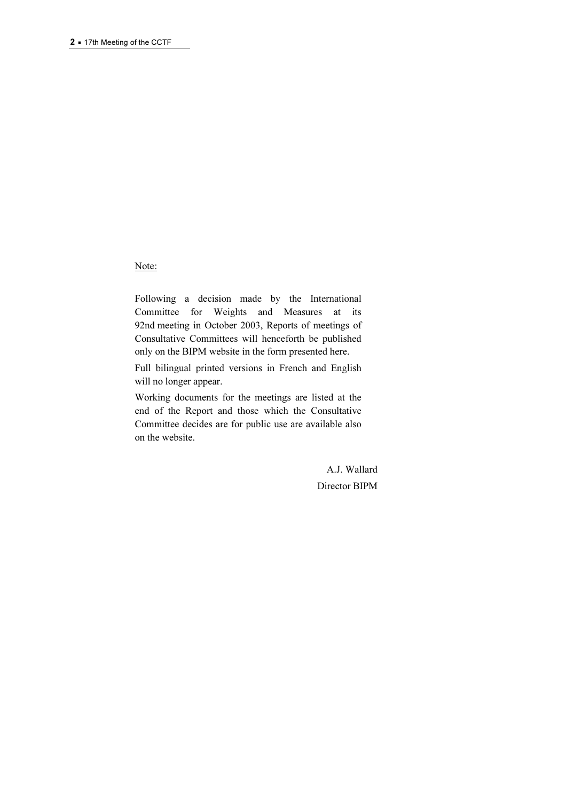#### Note:

Following a decision made by the International Committee for Weights and Measures at its 92nd meeting in October 2003, Reports of meetings of Consultative Committees will henceforth be published only on the BIPM website in the form presented here.

Full bilingual printed versions in French and English will no longer appear.

Working documents for the meetings are listed at the end of the Report and those which the Consultative Committee decides are for public use are available also on the website.

> A.J. Wallard Director BIPM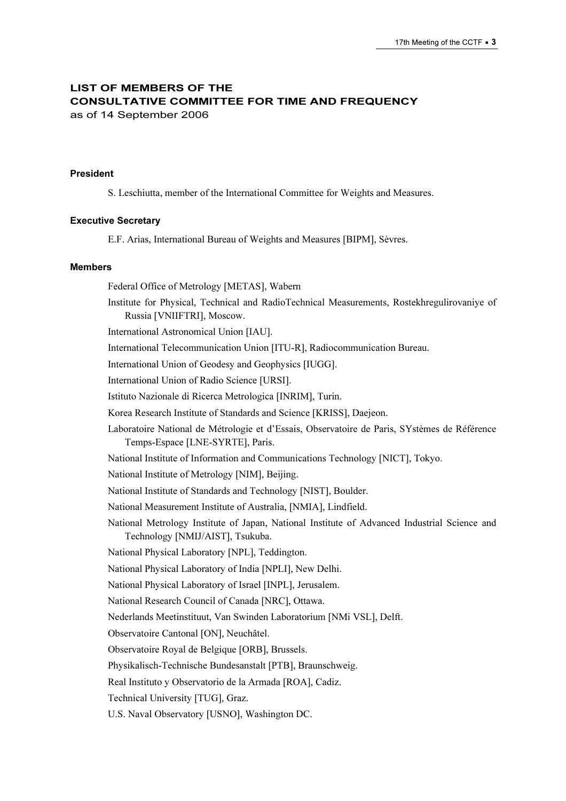## LIST OF MEMBERS OF THE CONSULTATIVE COMMITTEE FOR TIME AND FREQUENCY

as of 14 September 2006

#### President

S. Leschiutta, member of the International Committee for Weights and Measures.

#### Executive Secretary

E.F. Arias, International Bureau of Weights and Measures [BIPM], Sèvres.

#### Members

Federal Office of Metrology [METAS], Wabern Institute for Physical, Technical and RadioTechnical Measurements, Rostekhregulirovaniye of Russia [VNIIFTRI], Moscow. International Astronomical Union [IAU]. International Telecommunication Union [ITU-R], Radiocommunication Bureau. International Union of Geodesy and Geophysics [IUGG]. International Union of Radio Science [URSI]. Istituto Nazionale di Ricerca Metrologica [INRIM], Turin. Korea Research Institute of Standards and Science [KRISS], Daejeon. Laboratoire National de Métrologie et d'Essais, Observatoire de Paris, SYstèmes de Référence Temps-Espace [LNE-SYRTE], Paris. National Institute of Information and Communications Technology [NICT], Tokyo. National Institute of Metrology [NIM], Beijing. National Institute of Standards and Technology [NIST], Boulder. National Measurement Institute of Australia, [NMIA], Lindfield. National Metrology Institute of Japan, National Institute of Advanced Industrial Science and Technology [NMIJ/AIST], Tsukuba. National Physical Laboratory [NPL], Teddington. National Physical Laboratory of India [NPLI], New Delhi. National Physical Laboratory of Israel [INPL], Jerusalem. National Research Council of Canada [NRC], Ottawa. Nederlands Meetinstituut, Van Swinden Laboratorium [NMi VSL], Delft. Observatoire Cantonal [ON], Neuchâtel. Observatoire Royal de Belgique [ORB], Brussels. Physikalisch-Technische Bundesanstalt [PTB], Braunschweig. Real Instituto y Observatorio de la Armada [ROA], Cadiz. Technical University [TUG], Graz. U.S. Naval Observatory [USNO], Washington DC.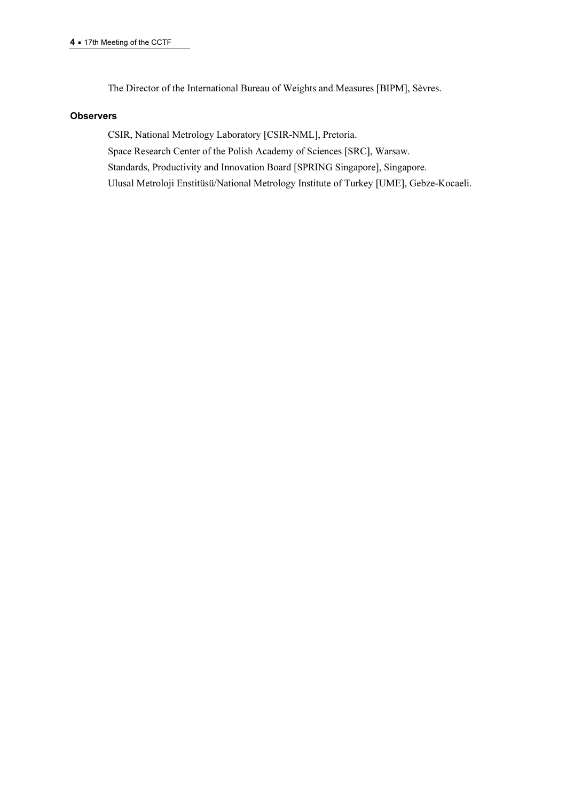The Director of the International Bureau of Weights and Measures [BIPM], Sèvres.

#### **Observers**

CSIR, National Metrology Laboratory [CSIR-NML], Pretoria. Space Research Center of the Polish Academy of Sciences [SRC], Warsaw. Standards, Productivity and Innovation Board [SPRING Singapore], Singapore. Ulusal Metroloji Enstitüsü/National Metrology Institute of Turkey [UME], Gebze-Kocaeli.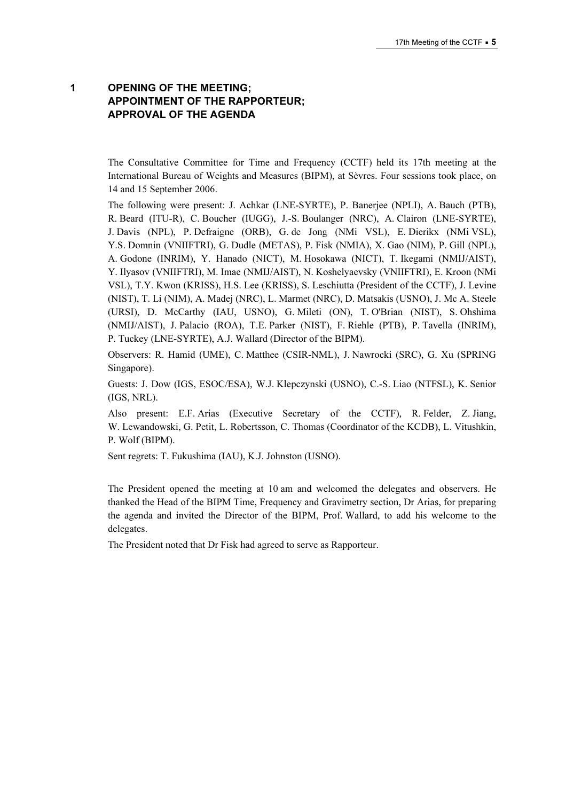## 1 OPENING OF THE MEETING; APPOINTMENT OF THE RAPPORTEUR; APPROVAL OF THE AGENDA

The Consultative Committee for Time and Frequency (CCTF) held its 17th meeting at the International Bureau of Weights and Measures (BIPM), at Sèvres. Four sessions took place, on 14 and 15 September 2006.

The following were present: J. Achkar (LNE-SYRTE), P. Banerjee (NPLI), A. Bauch (PTB), R. Beard (ITU-R), C. Boucher (IUGG), J.-S. Boulanger (NRC), A. Clairon (LNE-SYRTE), J. Davis (NPL), P. Defraigne (ORB), G. de Jong (NMi VSL), E. Dierikx (NMi VSL), Y.S. Domnin (VNIIFTRI), G. Dudle (METAS), P. Fisk (NMIA), X. Gao (NIM), P. Gill (NPL), A. Godone (INRIM), Y. Hanado (NICT), M. Hosokawa (NICT), T. Ikegami (NMIJ/AIST), Y. Ilyasov (VNIIFTRI), M. Imae (NMIJ/AIST), N. Koshelyaevsky (VNIIFTRI), E. Kroon (NMi VSL), T.Y. Kwon (KRISS), H.S. Lee (KRISS), S. Leschiutta (President of the CCTF), J. Levine (NIST), T. Li (NIM), A. Madej (NRC), L. Marmet (NRC), D. Matsakis (USNO), J. Mc A. Steele (URSI), D. McCarthy (IAU, USNO), G. Mileti (ON), T. O'Brian (NIST), S. Ohshima (NMIJ/AIST), J. Palacio (ROA), T.E. Parker (NIST), F. Riehle (PTB), P. Tavella (INRIM), P. Tuckey (LNE-SYRTE), A.J. Wallard (Director of the BIPM).

Observers: R. Hamid (UME), C. Matthee (CSIR-NML), J. Nawrocki (SRC), G. Xu (SPRING Singapore).

Guests: J. Dow (IGS, ESOC/ESA), W.J. Klepczynski (USNO), C.-S. Liao (NTFSL), K. Senior (IGS, NRL).

Also present: E.F. Arias (Executive Secretary of the CCTF), R. Felder, Z. Jiang, W. Lewandowski, G. Petit, L. Robertsson, C. Thomas (Coordinator of the KCDB), L. Vitushkin, P. Wolf (BIPM).

Sent regrets: T. Fukushima (IAU), K.J. Johnston (USNO).

The President opened the meeting at 10 am and welcomed the delegates and observers. He thanked the Head of the BIPM Time, Frequency and Gravimetry section, Dr Arias, for preparing the agenda and invited the Director of the BIPM, Prof. Wallard, to add his welcome to the delegates.

The President noted that Dr Fisk had agreed to serve as Rapporteur.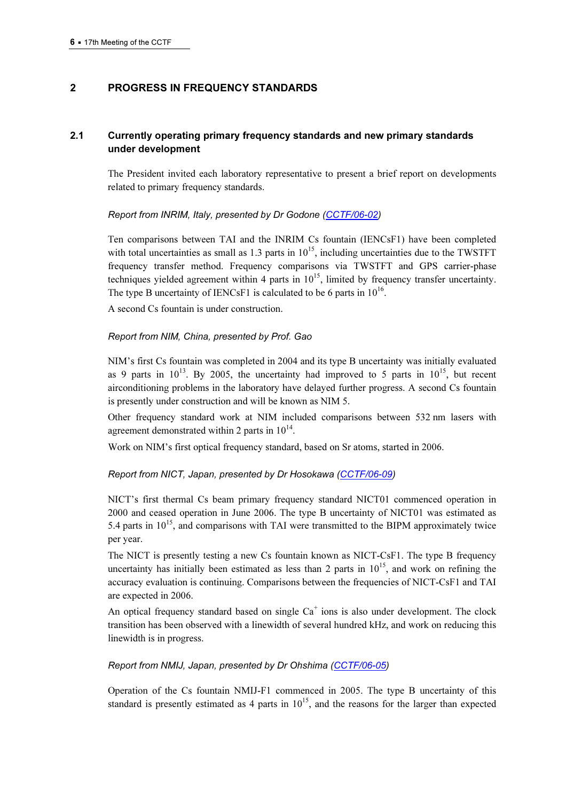## 2 PROGRESS IN FREQUENCY STANDARDS

## 2.1 Currently operating primary frequency standards and new primary standards under development

The President invited each laboratory representative to present a brief report on developments related to primary frequency standards.

#### Report from INRIM, Italy, presented by Dr Godo[ne \(CCTF/06-02\)](https://www.bipm.org/cc/CCTF/Allowed/17/INRIM_cctf06.pdf)

Ten comparisons between TAI and the INRIM Cs fountain (IENCsF1) have been completed with total uncertainties as small as  $1.3$  parts in  $10^{15}$ , including uncertainties due to the TWSTFT frequency transfer method. Frequency comparisons via TWSTFT and GPS carrier-phase techniques yielded agreement within 4 parts in  $10^{15}$ , limited by frequency transfer uncertainty. The type B uncertainty of IENCsF1 is calculated to be 6 parts in  $10^{16}$ .

A second Cs fountain is under construction.

#### Report from NIM, China, presented by Prof. Gao

NIM's first Cs fountain was completed in 2004 and its type B uncertainty was initially evaluated as 9 parts in  $10^{13}$ . By 2005, the uncertainty had improved to 5 parts in  $10^{15}$ , but recent airconditioning problems in the laboratory have delayed further progress. A second Cs fountain is presently under construction and will be known as NIM 5.

Other frequency standard work at NIM included comparisons between 532 nm lasers with agreement demonstrated within 2 parts in  $10^{14}$ .

Work on NIM's first optical frequency standard, based on Sr atoms, started in 2006.

#### Report from NICT, Japan, presented by Dr Hoso[kawa \(CCTF/06-09\)](https://www.bipm.org/cc/CCTF/Allowed/17/CCTF_Sreport_NICT.pdf)

NICT's first thermal Cs beam primary frequency standard NICT01 commenced operation in 2000 and ceased operation in June 2006. The type B uncertainty of NICT01 was estimated as 5.4 parts in  $10^{15}$ , and comparisons with TAI were transmitted to the BIPM approximately twice per year.

The NICT is presently testing a new Cs fountain known as NICT-CsF1. The type B frequency uncertainty has initially been estimated as less than 2 parts in  $10^{15}$ , and work on refining the accuracy evaluation is continuing. Comparisons between the frequencies of NICT-CsF1 and TAI are expected in 2006.

An optical frequency standard based on single  $Ca<sup>+</sup>$  ions is also under development. The clock transition has been observed with a linewidth of several hundred kHz, and work on reducing this linewidth is in progress.

#### Report from NMIJ, Japan, presented by Dr Ohs[hima \(CCTF/06-05\)](https://www.bipm.org/cc/CCTF/Allowed/17/CCTF06-NMIJ.pdf)

Operation of the Cs fountain NMIJ-F1 commenced in 2005. The type B uncertainty of this standard is presently estimated as 4 parts in  $10^{15}$ , and the reasons for the larger than expected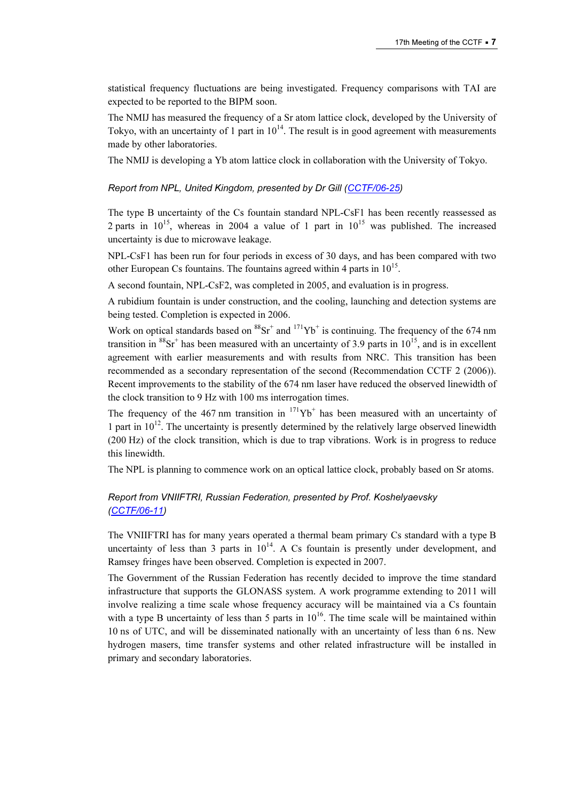statistical frequency fluctuations are being investigated. Frequency comparisons with TAI are expected to be reported to the BIPM soon.

The NMIJ has measured the frequency of a Sr atom lattice clock, developed by the University of Tokyo, with an uncertainty of 1 part in  $10^{14}$ . The result is in good agreement with measurements made by other laboratories.

The NMIJ is developing a Yb atom lattice clock in collaboration with the University of Tokyo.

## Report from NPL, United Kingdom, presented by Dr Gill (CCTF/06-25)

The type B uncertainty of the Cs fountain standard NPL-CsF1 has been recently reassessed as 2 parts in  $10^{15}$ , whereas in 2004 a value of 1 part in  $10^{15}$  was published. The increased uncertainty is due to microwave leakage.

NPL-CsF1 has been run for four periods in excess of 30 days, and has been compared with two other European Cs fountains. The fountains agreed within 4 parts in  $10^{15}$ .

A second fountain, NPL-CsF2, was completed in 2005, and evaluation is in progress.

A rubidium fountain is under construction, and the cooling, launching and detection systems are being tested. Completion is expected in 2006.

Work on optical standards based on  ${}^{88}Sr^+$  and  ${}^{171}Yb^+$  is continuing. The frequency of the 674 nm transition in  ${}^{88}Sr^+$  has been measured with an uncertainty of 3.9 parts in 10<sup>15</sup>, and is in excellent agreement with earlier measurements and with results from NRC. This transition has been recommended as a secondary representation of the second (Recommendation CCTF 2 (2006)). Recent improvements to the stability of the 674 nm laser have reduced the observed linewidth of the clock transition to 9 Hz with 100 ms interrogation times.

The frequency of the  $467$  nm transition in  $171\text{Yb}^+$  has been measured with an uncertainty of 1 part in  $10^{12}$ . The uncertainty is presently determined by the relatively large observed linewidth (200 Hz) of the clock transition, which is due to trap vibrations. Work is in progress to reduce this linewidth.

The NPL is planning to commence work on an optical lattice clock, probably based on Sr atoms.

## [Report from VNIIFTRI, R](https://www.bipm.org/cc/CCTF/Allowed/17/CCTF_060812.pdf)ussian Federation, presented by Prof. Koshelyaevsky (CCTF/06-11)

The VNIIFTRI has for many years operated a thermal beam primary Cs standard with a type B uncertainty of less than 3 parts in  $10^{14}$ . A Cs fountain is presently under development, and Ramsey fringes have been observed. Completion is expected in 2007.

The Government of the Russian Federation has recently decided to improve the time standard infrastructure that supports the GLONASS system. A work programme extending to 2011 will involve realizing a time scale whose frequency accuracy will be maintained via a Cs fountain with a type B uncertainty of less than 5 parts in  $10^{16}$ . The time scale will be maintained within 10 ns of UTC, and will be disseminated nationally with an uncertainty of less than 6 ns. New hydrogen masers, time transfer systems and other related infrastructure will be installed in primary and secondary laboratories.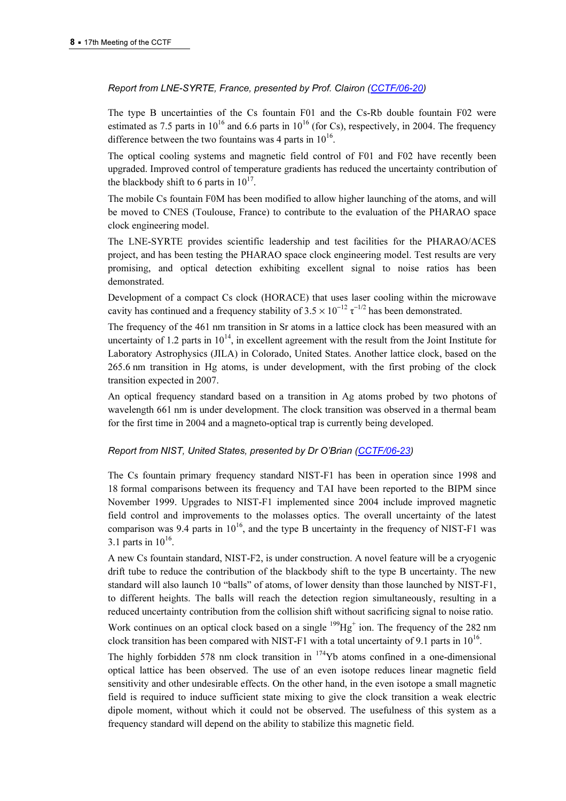## Report from LNE-SYRTE, France, presented by Prof. Clairon (CCTF/06-20)

The type B uncertainties of the Cs fountain F01 and t[he Cs-Rb double fountain F02](https://www.bipm.org/cc/CCTF/Allowed/17/CCTF2006_LNE-SYRTE.pdf) were estimated as 7.5 parts in  $10^{16}$  and 6.6 parts in  $10^{16}$  (for Cs), respectively, in 2004. The frequency difference between the two fountains was 4 parts in  $10^{16}$ .

The optical cooling systems and magnetic field control of F01 and F02 have recently been upgraded. Improved control of temperature gradients has reduced the uncertainty contribution of the blackbody shift to 6 parts in  $10^{17}$ .

The mobile Cs fountain F0M has been modified to allow higher launching of the atoms, and will be moved to CNES (Toulouse, France) to contribute to the evaluation of the PHARAO space clock engineering model.

The LNE-SYRTE provides scientific leadership and test facilities for the PHARAO/ACES project, and has been testing the PHARAO space clock engineering model. Test results are very promising, and optical detection exhibiting excellent signal to noise ratios has been demonstrated.

Development of a compact Cs clock (HORACE) that uses laser cooling within the microwave cavity has continued and a frequency stability of  $3.5 \times 10^{-12} \tau^{-1/2}$  has been demonstrated.

The frequency of the 461 nm transition in Sr atoms in a lattice clock has been measured with an uncertainty of 1.2 parts in  $10^{14}$ , in excellent agreement with the result from the Joint Institute for Laboratory Astrophysics (JILA) in Colorado, United States. Another lattice clock, based on the 265.6 nm transition in Hg atoms, is under development, with the first probing of the clock transition expected in 2007.

An optical frequency standard based on a transition in Ag atoms probed by two photons of wavelength 661 nm is under development. The clock transition was observed in a thermal beam for the first time in 2004 and a magneto-optical trap is currently being developed.

#### Report from NIST, United States, presented by Dr O'Brian (CCTF/06-23)

The Cs fountain primary frequency standard NIST-F1 has been in operation since 1998 and 18 formal comparisons between its frequency and TAI have been reported to the BIPM since November 1999. Upgrades to NIST-F1 implemented since 2004 include improved magnetic field control and improvements to the molasses optics. The overall uncertainty of the latest comparison was 9.4 parts in  $10^{16}$ , and the type B uncertainty in the frequency of NIST-F1 was 3.1 parts in  $10^{16}$ .

A new Cs fountain standard, NIST-F2, is under construction. A novel feature will be a cryogenic drift tube to reduce the contribution of the blackbody shift to the type B uncertainty. The new standard will also launch 10 "balls" of atoms, of lower density than those launched by NIST-F1, to different heights. The balls will reach the detection region simultaneously, resulting in a reduced uncertainty contribution from the collision shift without sacrificing signal to noise ratio.

Work continues on an optical clock based on a single  $\frac{199}{19}Hg^{+}$  ion. The frequency of the 282 nm clock transition has been compared with NIST-F1 with a total uncertainty of 9.1 parts in  $10^{16}$ .

The highly forbidden 578 nm clock transition in  $174$ Yb atoms confined in a one-dimensional optical lattice has been observed. The use of an even isotope reduces linear magnetic field sensitivity and other undesirable effects. On the other hand, in the even isotope a small magnetic field is required to induce sufficient state mixing to give the clock transition a weak electric dipole moment, without which it could not be observed. The usefulness of this system as a frequency standard will depend on the ability to stabilize this magnetic field.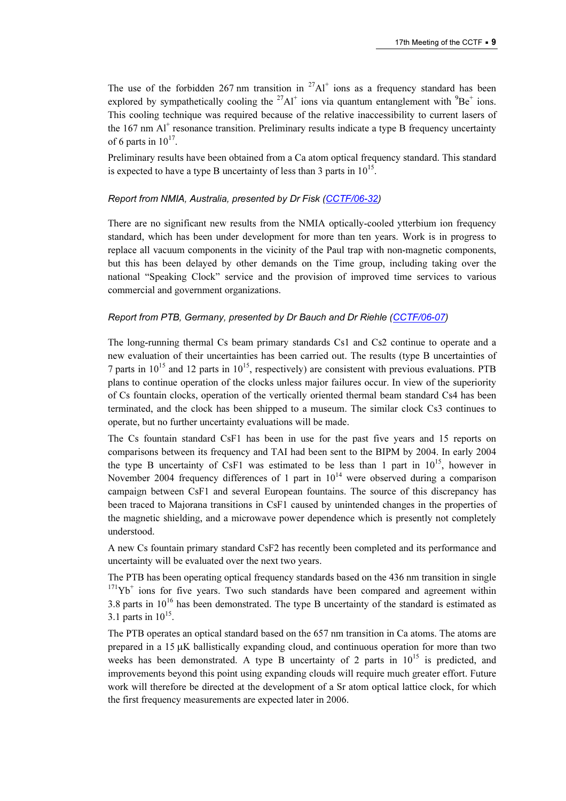The use of the forbidden 267 nm transition in  $27\text{Al}^+$  ions as a frequency standard has been explored by sympathetically cooling the  $27$ Al<sup>+</sup> ions via quantum entanglement with  $9Be^+$  ions. This cooling technique was required because of the relative inaccessibility to current lasers of the 167 nm Al<sup>+</sup> resonance transition. Preliminary results indicate a type B frequency uncertainty of 6 parts in  $10^{17}$ .

Preliminary results have been obtained from a Ca atom optical frequency standard. This standard is expected to have a type B uncertainty of less than 3 parts in  $10^{15}$ .

#### Report from NMIA, Australia, presented by Dr Fisk (CCTF/06-32)

There are no significant new results from the NMIA optically-cooled ytterbium ion frequency standard, which has been under development for more than ten years. Work is in progress to replace all vacuum components in the vicinity of the Paul trap with non-magnetic components, but this has been delayed by other demands on the Time group, including taking over the national "Speaking Clock" service and the provision of improved time services to various commercial and government organizations.

#### Report from PTB, Germany, presented by Dr Bauch and Dr [Riehle \(CCTF/06-07\)](https://www.bipm.org/cc/CCTF/Allowed/17/CCTF_2006_Report_PTB.pdf)

The long-running thermal Cs beam primary standards Cs1 and Cs2 continue to operate and a new evaluation of their uncertainties has been carried out. The results (type B uncertainties of 7 parts in  $10^{15}$  and 12 parts in  $10^{15}$ , respectively) are consistent with previous evaluations. PTB plans to continue operation of the clocks unless major failures occur. In view of the superiority of Cs fountain clocks, operation of the vertically oriented thermal beam standard Cs4 has been terminated, and the clock has been shipped to a museum. The similar clock Cs3 continues to operate, but no further uncertainty evaluations will be made.

The Cs fountain standard CsF1 has been in use for the past five years and 15 reports on comparisons between its frequency and TAI had been sent to the BIPM by 2004. In early 2004 the type B uncertainty of CsF1 was estimated to be less than 1 part in  $10^{15}$ , however in November 2004 frequency differences of 1 part in  $10^{14}$  were observed during a comparison campaign between CsF1 and several European fountains. The source of this discrepancy has been traced to Majorana transitions in CsF1 caused by unintended changes in the properties of the magnetic shielding, and a microwave power dependence which is presently not completely understood.

A new Cs fountain primary standard CsF2 has recently been completed and its performance and uncertainty will be evaluated over the next two years.

The PTB has been operating optical frequency standards based on the 436 nm transition in single  $171Yb<sup>+</sup>$  ions for five years. Two such standards have been compared and agreement within 3.8 parts in  $10^{16}$  has been demonstrated. The type B uncertainty of the standard is estimated as 3.1 parts in  $10^{15}$ .

The PTB operates an optical standard based on the 657 nm transition in Ca atoms. The atoms are prepared in a 15 µK ballistically expanding cloud, and continuous operation for more than two weeks has been demonstrated. A type B uncertainty of 2 parts in  $10^{15}$  is predicted, and improvements beyond this point using expanding clouds will require much greater effort. Future work will therefore be directed at the development of a Sr atom optical lattice clock, for which the first frequency measurements are expected later in 2006.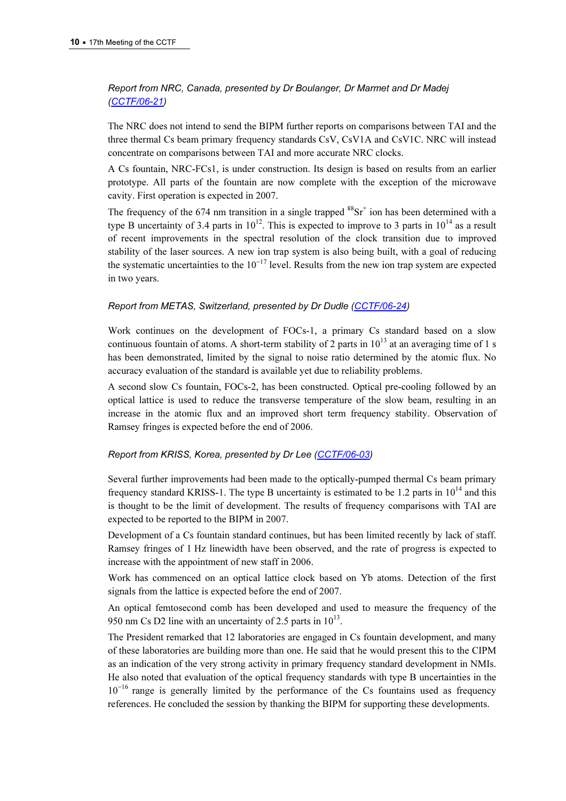## [Report from NRC, C](https://www.bipm.org/cc/CCTF/Allowed/17/CCTF_2006_NRC.pdf)anada, presented by Dr Boulanger, Dr Marmet and Dr Madej (CCTF/06-21)

The NRC does not intend to send the BIPM further reports on comparisons between TAI and the three thermal Cs beam primary frequency standards CsV, CsV1A and CsV1C. NRC will instead concentrate on comparisons between TAI and more accurate NRC clocks.

A Cs fountain, NRC-FCs1, is under construction. Its design is based on results from an earlier prototype. All parts of the fountain are now complete with the exception of the microwave cavity. First operation is expected in 2007.

The frequency of the 674 nm transition in a single trapped  ${}^{88}Sr^+$  ion has been determined with a type B uncertainty of 3.4 parts in  $10^{12}$ . This is expected to improve to 3 parts in  $10^{14}$  as a result of recent improvements in the spectral resolution of the clock transition due to improved stability of the laser sources. A new ion trap system is also being built, with a goal of reducing the systematic uncertainties to the  $10^{-17}$  level. Results from the new ion trap system are expected in two years.

#### Report from METAS, Switzerland, presented by Dr Dudle (CCTF/06-24)

Work continues on the development of FOCs-1, a primary Cs standard based on a slow continuous fountain of atoms. A short-term stability of 2 parts in  $10^{13}$  at an averaging time of 1 s has been demonstrated, limited by the signal to noise ratio determined by the atomic flux. No accuracy evaluation of the standard is available yet due to reliability problems.

A second slow Cs fountain, FOCs-2, has been constructed. Optical pre-cooling followed by an optical lattice is used to reduce the transverse temperature of the slow beam, resulting in an increase in the atomic flux and an improved short term frequency stability. Observation of Ramsey fringes is expected before the end of 2006.

#### Report from KRISS, Korea, presented by Dr [Lee \(CCTF/06-03\)](https://www.bipm.org/cc/CCTF/Allowed/17/KRISS_cctf2006.pdf)

Several further improvements had been made to the optically-pumped thermal Cs beam primary frequency standard KRISS-1. The type B uncertainty is estimated to be 1.2 parts in  $10^{14}$  and this is thought to be the limit of development. The results of frequency comparisons with TAI are expected to be reported to the BIPM in 2007.

Development of a Cs fountain standard continues, but has been limited recently by lack of staff. Ramsey fringes of 1 Hz linewidth have been observed, and the rate of progress is expected to increase with the appointment of new staff in 2006.

Work has commenced on an optical lattice clock based on Yb atoms. Detection of the first signals from the lattice is expected before the end of 2007.

An optical femtosecond comb has been developed and used to measure the frequency of the 950 nm Cs D2 line with an uncertainty of 2.5 parts in  $10^{13}$ .

The President remarked that 12 laboratories are engaged in Cs fountain development, and many of these laboratories are building more than one. He said that he would present this to the CIPM as an indication of the very strong activity in primary frequency standard development in NMIs. He also noted that evaluation of the optical frequency standards with type B uncertainties in the  $10^{-16}$  range is generally limited by the performance of the Cs fountains used as frequency references. He concluded the session by thanking the BIPM for supporting these developments.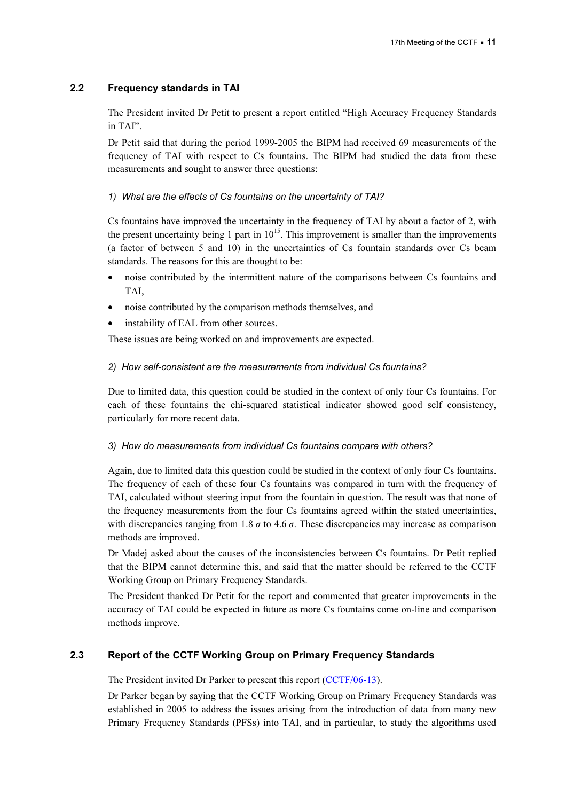## 2.2 Frequency standards in TAI

The President invited Dr Petit to present a report entitled "High Accuracy Frequency Standards in TAI".

Dr Petit said that during the period 1999-2005 the BIPM had received 69 measurements of the frequency of TAI with respect to Cs fountains. The BIPM had studied the data from these measurements and sought to answer three questions:

## 1) What are the effects of Cs fountains on the uncertainty of TAI?

Cs fountains have improved the uncertainty in the frequency of TAI by about a factor of 2, with the present uncertainty being 1 part in  $10^{15}$ . This improvement is smaller than the improvements (a factor of between 5 and 10) in the uncertainties of Cs fountain standards over Cs beam standards. The reasons for this are thought to be:

- noise contributed by the intermittent nature of the comparisons between Cs fountains and TAI,
- noise contributed by the comparison methods themselves, and
- instability of EAL from other sources.

These issues are being worked on and improvements are expected.

#### 2) How self-consistent are the measurements from individual Cs fountains?

Due to limited data, this question could be studied in the context of only four Cs fountains. For each of these fountains the chi-squared statistical indicator showed good self consistency, particularly for more recent data.

#### 3) How do measurements from individual Cs fountains compare with others?

Again, due to limited data this question could be studied in the context of only four Cs fountains. The frequency of each of these four Cs fountains was compared in turn with the frequency of TAI, calculated without steering input from the fountain in question. The result was that none of the frequency measurements from the four Cs fountains agreed within the stated uncertainties, with discrepancies ranging from 1.8  $\sigma$  to 4.6  $\sigma$ . These discrepancies may increase as comparison methods are improved.

Dr Madej asked about the causes of the inconsistencies between Cs fountains. Dr Petit replied that the BIPM cannot determine this, and said that the matter should be referred to the CCTF Working Group on Primary Frequency Standards.

The President thanked Dr Petit for the report and commented that greater improvements in the accuracy of TAI could be expected in future as more Cs fountains come on-line and comparison methods improve.

## 2.3 Report of the CCTF Working Group on Primary Frequency Standards

The President invited Dr Parker to present this report (CCTF/06-13).

Dr Parker began by saying that the CCTF W[orking Group on Primary Frequ](https://www.bipm.org/cc/CCTF/Allowed/17/CCTFReport-WGpfs-2006.pdf)ency Standards was established in 2005 to address the issues arising from the introduction of data from many new Primary Frequency Standards (PFSs) into TAI, and in particular, to study the algorithms used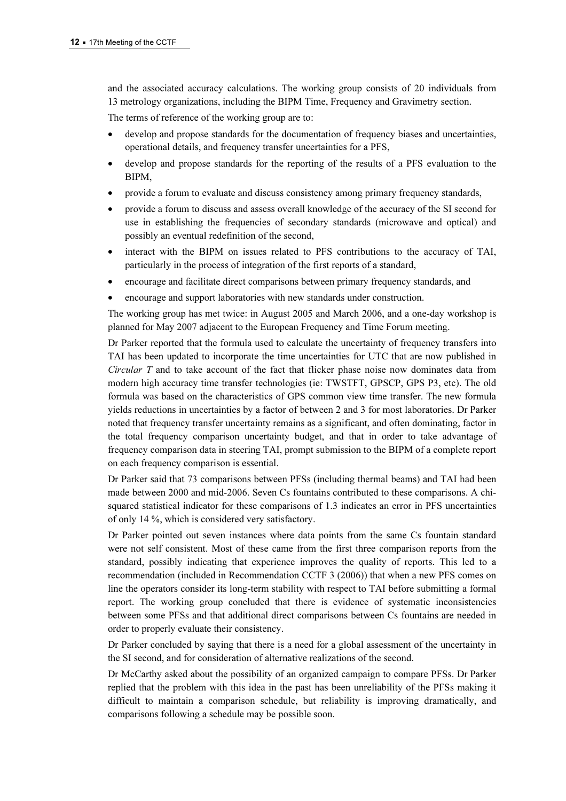and the associated accuracy calculations. The working group consists of 20 individuals from 13 metrology organizations, including the BIPM Time, Frequency and Gravimetry section.

The terms of reference of the working group are to:

- develop and propose standards for the documentation of frequency biases and uncertainties, operational details, and frequency transfer uncertainties for a PFS,
- develop and propose standards for the reporting of the results of a PFS evaluation to the BIPM,
- provide a forum to evaluate and discuss consistency among primary frequency standards,
- provide a forum to discuss and assess overall knowledge of the accuracy of the SI second for use in establishing the frequencies of secondary standards (microwave and optical) and possibly an eventual redefinition of the second,
- interact with the BIPM on issues related to PFS contributions to the accuracy of TAI, particularly in the process of integration of the first reports of a standard,
- encourage and facilitate direct comparisons between primary frequency standards, and
- encourage and support laboratories with new standards under construction.

The working group has met twice: in August 2005 and March 2006, and a one-day workshop is planned for May 2007 adjacent to the European Frequency and Time Forum meeting.

Dr Parker reported that the formula used to calculate the uncertainty of frequency transfers into TAI has been updated to incorporate the time uncertainties for UTC that are now published in Circular T and to take account of the fact that flicker phase noise now dominates data from modern high accuracy time transfer technologies (ie: TWSTFT, GPSCP, GPS P3, etc). The old formula was based on the characteristics of GPS common view time transfer. The new formula yields reductions in uncertainties by a factor of between 2 and 3 for most laboratories. Dr Parker noted that frequency transfer uncertainty remains as a significant, and often dominating, factor in the total frequency comparison uncertainty budget, and that in order to take advantage of frequency comparison data in steering TAI, prompt submission to the BIPM of a complete report on each frequency comparison is essential.

Dr Parker said that 73 comparisons between PFSs (including thermal beams) and TAI had been made between 2000 and mid-2006. Seven Cs fountains contributed to these comparisons. A chisquared statistical indicator for these comparisons of 1.3 indicates an error in PFS uncertainties of only 14 %, which is considered very satisfactory.

Dr Parker pointed out seven instances where data points from the same Cs fountain standard were not self consistent. Most of these came from the first three comparison reports from the standard, possibly indicating that experience improves the quality of reports. This led to a recommendation (included in Recommendation CCTF 3 (2006)) that when a new PFS comes on line the operators consider its long-term stability with respect to TAI before submitting a formal report. The working group concluded that there is evidence of systematic inconsistencies between some PFSs and that additional direct comparisons between Cs fountains are needed in order to properly evaluate their consistency.

Dr Parker concluded by saying that there is a need for a global assessment of the uncertainty in the SI second, and for consideration of alternative realizations of the second.

Dr McCarthy asked about the possibility of an organized campaign to compare PFSs. Dr Parker replied that the problem with this idea in the past has been unreliability of the PFSs making it difficult to maintain a comparison schedule, but reliability is improving dramatically, and comparisons following a schedule may be possible soon.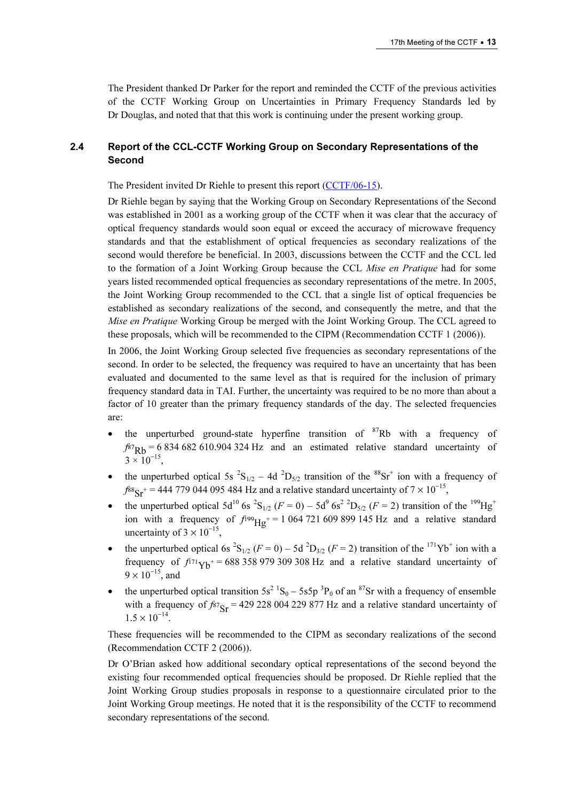The President thanked Dr Parker for the report and reminded the CCTF of the previous activities of the CCTF Working Group on Uncertainties in Primary Frequency Standards led by Dr Douglas, and noted that that this work is continuing under the present working group.

## 2.4 Report of the CCL-CCTF Working Group on Secondary Representations of the Second

The President invited Dr Riehle to present this report (CCTF/06-15).

Dr Riehle began by saying that the Working Gro[up on Secondary Representat](https://www.bipm.org/cc/CCTF/Allowed/17/ReportCCL-CCTFJWG_FRPG.pdf)ions of the Second was established in 2001 as a working group of the CCTF when it was clear that the accuracy of optical frequency standards would soon equal or exceed the accuracy of microwave frequency standards and that the establishment of optical frequencies as secondary realizations of the second would therefore be beneficial. In 2003, discussions between the CCTF and the CCL led to the formation of a Joint Working Group because the CCL Mise en Pratique had for some years listed recommended optical frequencies as secondary representations of the metre. In 2005, the Joint Working Group recommended to the CCL that a single list of optical frequencies be established as secondary realizations of the second, and consequently the metre, and that the Mise en Pratique Working Group be merged with the Joint Working Group. The CCL agreed to these proposals, which will be recommended to the CIPM (Recommendation CCTF 1 (2006)).

In 2006, the Joint Working Group selected five frequencies as secondary representations of the second. In order to be selected, the frequency was required to have an uncertainty that has been evaluated and documented to the same level as that is required for the inclusion of primary frequency standard data in TAI. Further, the uncertainty was required to be no more than about a factor of 10 greater than the primary frequency standards of the day. The selected frequencies are:

- the unperturbed ground-state hyperfine transition of  $87Rb$  with a frequency of  $f_{87}Rb = 6834682610.904324 Hz$  and an estimated relative standard uncertainty of  $3 \times 10^{-15}$ .
- the unperturbed optical 5s  ${}^{2}S_{1/2}$  4d  ${}^{2}D_{5/2}$  transition of the  ${}^{88}Sr^{+}$  ion with a frequency of  $f$  $88$ <sub>Sr</sub><sup>+</sup> = 444 779 044 095 484 Hz and a relative standard uncertainty of 7 × 10<sup>-15</sup>,
- the unperturbed optical  $5d^{10}$  6s  ${}^{2}S_{1/2}$  ( $F = 0$ )  $5d^{9}$  6s<sup>2</sup>  ${}^{2}D_{5/2}$  ( $F = 2$ ) transition of the  ${}^{199}Hg^{+}$ ion with a frequency of  $f^{199}Hg^{+}= 1064 721 609 899 145 Hz$  and a relative standard uncertainty of  $3 \times 10^{-15}$ .
- the unperturbed optical 6s  ${}^{2}S_{1/2}$  ( $F = 0$ ) 5d  ${}^{2}D_{3/2}$  ( $F = 2$ ) transition of the  ${}^{171}Yb^{+}$  ion with a frequency of  $f_{171}V_{\rm b}$ + = 688 358 979 309 308 Hz and a relative standard uncertainty of  $9 \times 10^{-15}$ , and
- the unperturbed optical transition  $5s^2$   ${}^1S_0 5s5p$   ${}^3P_0$  of an  ${}^{87}Sr$  with a frequency of ensemble with a frequency of  $f_{87} = 429228004229877$  Hz and a relative standard uncertainty of  $1.5 \times 10^{-14}$ .

These frequencies will be recommended to the CIPM as secondary realizations of the second (Recommendation CCTF 2 (2006)).

Dr O'Brian asked how additional secondary optical representations of the second beyond the existing four recommended optical frequencies should be proposed. Dr Riehle replied that the Joint Working Group studies proposals in response to a questionnaire circulated prior to the Joint Working Group meetings. He noted that it is the responsibility of the CCTF to recommend secondary representations of the second.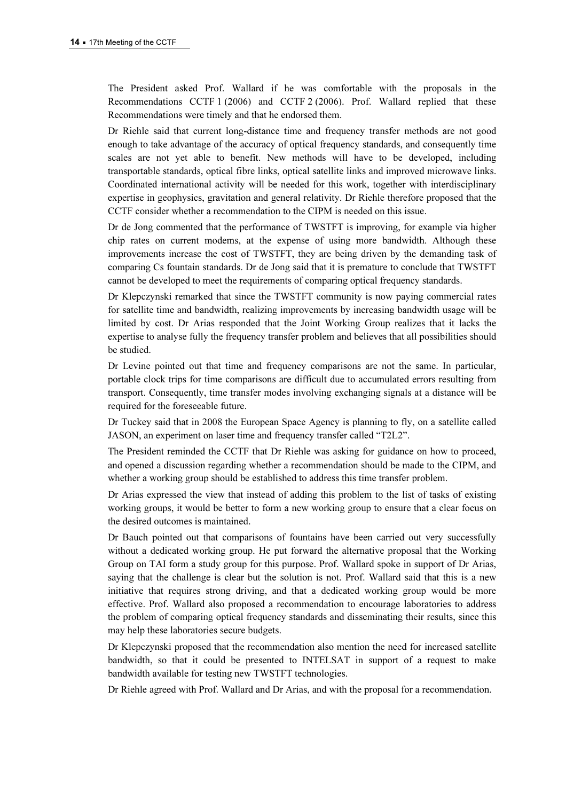The President asked Prof. Wallard if he was comfortable with the proposals in the Recommendations CCTF 1 (2006) and CCTF 2 (2006). Prof. Wallard replied that these Recommendations were timely and that he endorsed them.

Dr Riehle said that current long-distance time and frequency transfer methods are not good enough to take advantage of the accuracy of optical frequency standards, and consequently time scales are not yet able to benefit. New methods will have to be developed, including transportable standards, optical fibre links, optical satellite links and improved microwave links. Coordinated international activity will be needed for this work, together with interdisciplinary expertise in geophysics, gravitation and general relativity. Dr Riehle therefore proposed that the CCTF consider whether a recommendation to the CIPM is needed on this issue.

Dr de Jong commented that the performance of TWSTFT is improving, for example via higher chip rates on current modems, at the expense of using more bandwidth. Although these improvements increase the cost of TWSTFT, they are being driven by the demanding task of comparing Cs fountain standards. Dr de Jong said that it is premature to conclude that TWSTFT cannot be developed to meet the requirements of comparing optical frequency standards.

Dr Klepczynski remarked that since the TWSTFT community is now paying commercial rates for satellite time and bandwidth, realizing improvements by increasing bandwidth usage will be limited by cost. Dr Arias responded that the Joint Working Group realizes that it lacks the expertise to analyse fully the frequency transfer problem and believes that all possibilities should be studied.

Dr Levine pointed out that time and frequency comparisons are not the same. In particular, portable clock trips for time comparisons are difficult due to accumulated errors resulting from transport. Consequently, time transfer modes involving exchanging signals at a distance will be required for the foreseeable future.

Dr Tuckey said that in 2008 the European Space Agency is planning to fly, on a satellite called JASON, an experiment on laser time and frequency transfer called "T2L2".

The President reminded the CCTF that Dr Riehle was asking for guidance on how to proceed, and opened a discussion regarding whether a recommendation should be made to the CIPM, and whether a working group should be established to address this time transfer problem.

Dr Arias expressed the view that instead of adding this problem to the list of tasks of existing working groups, it would be better to form a new working group to ensure that a clear focus on the desired outcomes is maintained.

Dr Bauch pointed out that comparisons of fountains have been carried out very successfully without a dedicated working group. He put forward the alternative proposal that the Working Group on TAI form a study group for this purpose. Prof. Wallard spoke in support of Dr Arias, saying that the challenge is clear but the solution is not. Prof. Wallard said that this is a new initiative that requires strong driving, and that a dedicated working group would be more effective. Prof. Wallard also proposed a recommendation to encourage laboratories to address the problem of comparing optical frequency standards and disseminating their results, since this may help these laboratories secure budgets.

Dr Klepczynski proposed that the recommendation also mention the need for increased satellite bandwidth, so that it could be presented to INTELSAT in support of a request to make bandwidth available for testing new TWSTFT technologies.

Dr Riehle agreed with Prof. Wallard and Dr Arias, and with the proposal for a recommendation.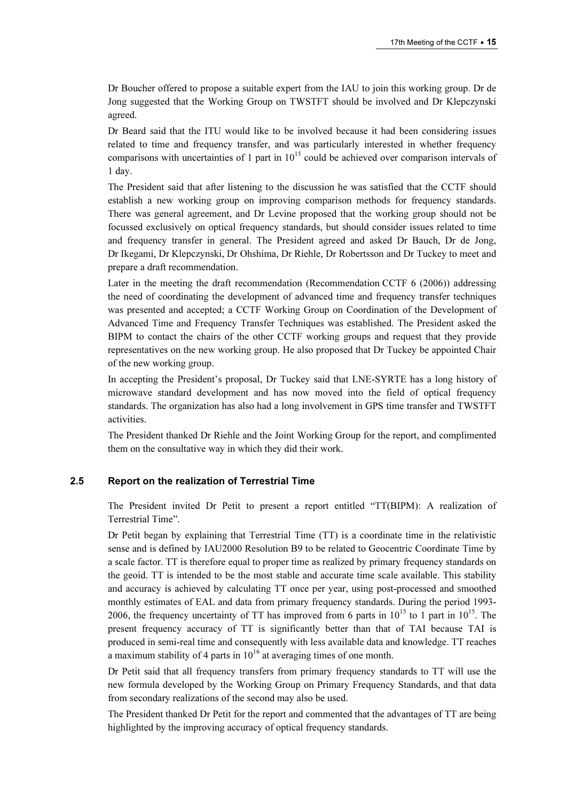Dr Boucher offered to propose a suitable expert from the IAU to join this working group. Dr de Jong suggested that the Working Group on TWSTFT should be involved and Dr Klepczynski agreed.

Dr Beard said that the ITU would like to be involved because it had been considering issues related to time and frequency transfer, and was particularly interested in whether frequency comparisons with uncertainties of 1 part in  $10^{15}$  could be achieved over comparison intervals of 1 day.

The President said that after listening to the discussion he was satisfied that the CCTF should establish a new working group on improving comparison methods for frequency standards. There was general agreement, and Dr Levine proposed that the working group should not be focussed exclusively on optical frequency standards, but should consider issues related to time and frequency transfer in general. The President agreed and asked Dr Bauch, Dr de Jong, Dr Ikegami, Dr Klepczynski, Dr Ohshima, Dr Riehle, Dr Robertsson and Dr Tuckey to meet and prepare a draft recommendation.

Later in the meeting the draft recommendation (Recommendation CCTF 6 (2006)) addressing the need of coordinating the development of advanced time and frequency transfer techniques was presented and accepted; a CCTF Working Group on Coordination of the Development of Advanced Time and Frequency Transfer Techniques was established. The President asked the BIPM to contact the chairs of the other CCTF working groups and request that they provide representatives on the new working group. He also proposed that Dr Tuckey be appointed Chair of the new working group.

In accepting the President's proposal, Dr Tuckey said that LNE-SYRTE has a long history of microwave standard development and has now moved into the field of optical frequency standards. The organization has also had a long involvement in GPS time transfer and TWSTFT activities.

The President thanked Dr Riehle and the Joint Working Group for the report, and complimented them on the consultative way in which they did their work.

#### 2.5 Report on the realization of Terrestrial Time

The President invited Dr Petit to present a report entitled "TT(BIPM): A realization of Terrestrial Time".

Dr Petit began by explaining that Terrestrial Time (TT) is a coordinate time in the relativistic sense and is defined by IAU2000 Resolution B9 to be related to Geocentric Coordinate Time by a scale factor. TT is therefore equal to proper time as realized by primary frequency standards on the geoid. TT is intended to be the most stable and accurate time scale available. This stability and accuracy is achieved by calculating TT once per year, using post-processed and smoothed monthly estimates of EAL and data from primary frequency standards. During the period 1993- 2006, the frequency uncertainty of TT has improved from 6 parts in  $10^{15}$  to 1 part in  $10^{15}$ . The present frequency accuracy of TT is significantly better than that of TAI because TAI is produced in semi-real time and consequently with less available data and knowledge. TT reaches a maximum stability of 4 parts in  $10^{16}$  at averaging times of one month.

Dr Petit said that all frequency transfers from primary frequency standards to TT will use the new formula developed by the Working Group on Primary Frequency Standards, and that data from secondary realizations of the second may also be used.

The President thanked Dr Petit for the report and commented that the advantages of TT are being highlighted by the improving accuracy of optical frequency standards.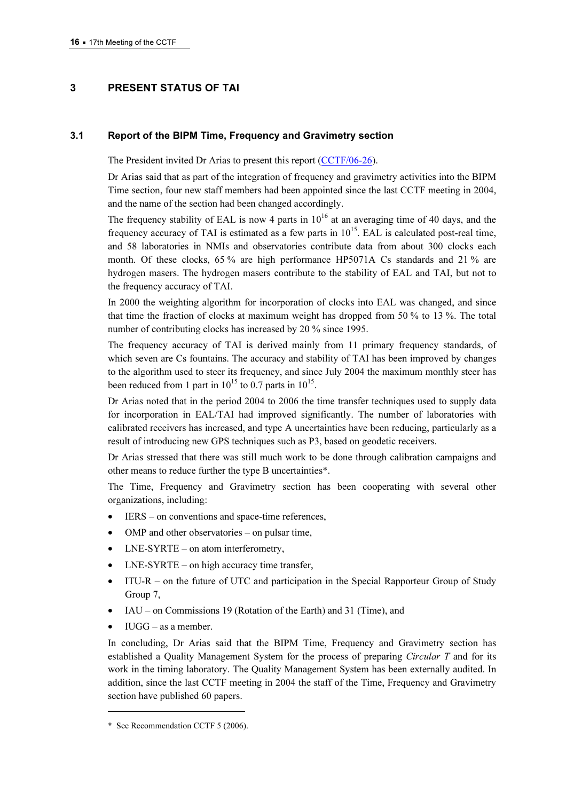## 3 PRESENT STATUS OF TAI

#### 3.1 Report of the BIPM Time, Frequency and Gravimetry section

The President invited Dr Arias to present this report (CCTF/06-26).

Dr Arias said that as part of the integration [of frequency and gravimetry ac](https://www.bipm.org/cc/CCTF/Allowed/17/CCTF06-BIPM.pdf)tivities into the BIPM Time section, four new staff members had been appointed since the last CCTF meeting in 2004, and the name of the section had been changed accordingly.

The frequency stability of EAL is now 4 parts in  $10^{16}$  at an averaging time of 40 days, and the frequency accuracy of TAI is estimated as a few parts in  $10^{15}$ . EAL is calculated post-real time, and 58 laboratories in NMIs and observatories contribute data from about 300 clocks each month. Of these clocks, 65 % are high performance HP5071A Cs standards and 21 % are hydrogen masers. The hydrogen masers contribute to the stability of EAL and TAI, but not to the frequency accuracy of TAI.

In 2000 the weighting algorithm for incorporation of clocks into EAL was changed, and since that time the fraction of clocks at maximum weight has dropped from 50 % to 13 %. The total number of contributing clocks has increased by 20 % since 1995.

The frequency accuracy of TAI is derived mainly from 11 primary frequency standards, of which seven are Cs fountains. The accuracy and stability of TAI has been improved by changes to the algorithm used to steer its frequency, and since July 2004 the maximum monthly steer has been reduced from 1 part in  $10^{15}$  to 0.7 parts in  $10^{15}$ .

Dr Arias noted that in the period 2004 to 2006 the time transfer techniques used to supply data for incorporation in EAL/TAI had improved significantly. The number of laboratories with calibrated receivers has increased, and type A uncertainties have been reducing, particularly as a result of introducing new GPS techniques such as P3, based on geodetic receivers.

Dr Arias stressed that there was still much work to be done through calibration campaigns and other means to reduce further the type B uncertainties\*.

The Time, Frequency and Gravimetry section has been cooperating with several other organizations, including:

- IERS on conventions and space-time references,
- OMP and other observatories on pulsar time,
- $LNE-SYRTE$  on atom interferometry,
- $LNE-SYRTE$  on high accuracy time transfer,
- ITU-R on the future of UTC and participation in the Special Rapporteur Group of Study Group 7,
- IAU on Commissions 19 (Rotation of the Earth) and 31 (Time), and
- $\bullet$  IUGG as a member.

 $\overline{a}$ 

In concluding, Dr Arias said that the BIPM Time, Frequency and Gravimetry section has established a Quality Management System for the process of preparing Circular T and for its work in the timing laboratory. The Quality Management System has been externally audited. In addition, since the last CCTF meeting in 2004 the staff of the Time, Frequency and Gravimetry section have published 60 papers.

<sup>\*</sup> See Recommendation CCTF 5 (2006).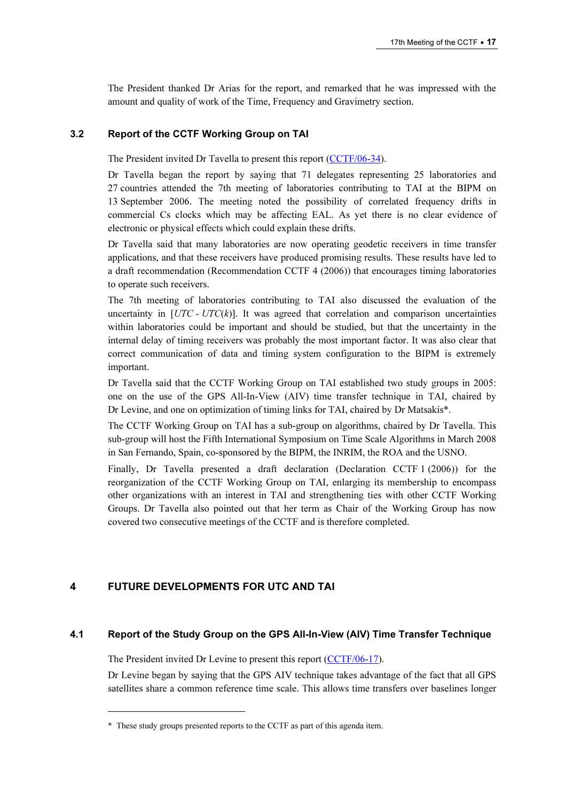The President thanked Dr Arias for the report, and remarked that he was impressed with the amount and quality of work of the Time, Frequency and Gravimetry section.

#### 3.2 Report of the CCTF Working Group on TAI

The President invited Dr Tavella to present this report (CCTF/06-34).

Dr Tavella began the report by saying that 7[1 delegates representing 25](https://www.bipm.org/cc/CCTF/Allowed/17/CCTF2006-PRES06.pdf) laboratories and 27 countries attended the 7th meeting of laboratories contributing to TAI at the BIPM on 13 September 2006. The meeting noted the possibility of correlated frequency drifts in commercial Cs clocks which may be affecting EAL. As yet there is no clear evidence of electronic or physical effects which could explain these drifts.

Dr Tavella said that many laboratories are now operating geodetic receivers in time transfer applications, and that these receivers have produced promising results. These results have led to a draft recommendation (Recommendation CCTF 4 (2006)) that encourages timing laboratories to operate such receivers.

The 7th meeting of laboratories contributing to TAI also discussed the evaluation of the uncertainty in  $[UTC - UTC(k)]$ . It was agreed that correlation and comparison uncertainties within laboratories could be important and should be studied, but that the uncertainty in the internal delay of timing receivers was probably the most important factor. It was also clear that correct communication of data and timing system configuration to the BIPM is extremely important.

Dr Tavella said that the CCTF Working Group on TAI established two study groups in 2005: one on the use of the GPS All-In-View (AIV) time transfer technique in TAI, chaired by Dr Levine, and one on optimization of timing links for TAI, chaired by Dr Matsakis\*.

The CCTF Working Group on TAI has a sub-group on algorithms, chaired by Dr Tavella. This sub-group will host the Fifth International Symposium on Time Scale Algorithms in March 2008 in San Fernando, Spain, co-sponsored by the BIPM, the INRIM, the ROA and the USNO.

Finally, Dr Tavella presented a draft declaration (Declaration CCTF 1 (2006)) for the reorganization of the CCTF Working Group on TAI, enlarging its membership to encompass other organizations with an interest in TAI and strengthening ties with other CCTF Working Groups. Dr Tavella also pointed out that her term as Chair of the Working Group has now covered two consecutive meetings of the CCTF and is therefore completed.

## 4 FUTURE DEVELOPMENTS FOR UTC AND TAI

 $\overline{a}$ 

## 4.1 Report of the Study Group on the GPS All-In-View (AIV) Time Transfer Technique

The President invited Dr Levine to present this report (CCTF/06-17).

Dr Levine began by saying that the GPS AIV te[chnique takes advantage of](https://www.bipm.org/cc/CCTF/Allowed/17/cv_aiv_report.pdf) the fact that all GPS satellites share a common reference time scale. This allows time transfers over baselines longer

<sup>\*</sup> These study groups presented reports to the CCTF as part of this agenda item.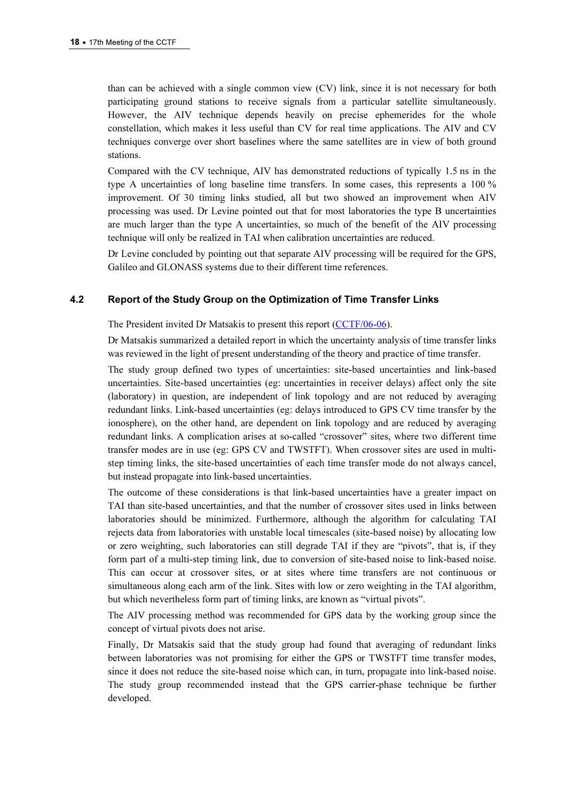than can be achieved with a single common view (CV) link, since it is not necessary for both participating ground stations to receive signals from a particular satellite simultaneously. However, the AIV technique depends heavily on precise ephemerides for the whole constellation, which makes it less useful than CV for real time applications. The AIV and CV techniques converge over short baselines where the same satellites are in view of both ground stations.

Compared with the CV technique, AIV has demonstrated reductions of typically 1.5 ns in the type A uncertainties of long baseline time transfers. In some cases, this represents a 100 % improvement. Of 30 timing links studied, all but two showed an improvement when AIV processing was used. Dr Levine pointed out that for most laboratories the type B uncertainties are much larger than the type A uncertainties, so much of the benefit of the AIV processing technique will only be realized in TAI when calibration uncertainties are reduced.

Dr Levine concluded by pointing out that separate AIV processing will be required for the GPS, Galileo and GLONASS systems due to their different time references.

## 4.2 Report of the Study Group on the Optimization of Time Transfer Links

The President invited Dr Matsakis to present this report (CCTF/06-06).

Dr Matsakis summarized a detailed report in which the uncertainty analysis of time transfer links was reviewed in the light of present understanding of the theory and practice of time transfer.

The study group defined two types of uncertainties: site-based uncertainties and link-based uncertainties. Site-based uncertainties (eg: uncertainties in receiver delays) affect only the site (laboratory) in question, are independent of link topology and are not reduced by averaging redundant links. Link-based uncertainties (eg: delays introduced to GPS CV time transfer by the ionosphere), on the other hand, are dependent on link topology and are reduced by averaging redundant links. A complication arises at so-called "crossover" sites, where two different time transfer modes are in use (eg: GPS CV and TWSTFT). When crossover sites are used in multistep timing links, the site-based uncertainties of each time transfer mode do not always cancel, but instead propagate into link-based uncertainties.

The outcome of these considerations is that link-based uncertainties have a greater impact on TAI than site-based uncertainties, and that the number of crossover sites used in links between laboratories should be minimized. Furthermore, although the algorithm for calculating TAI rejects data from laboratories with unstable local timescales (site-based noise) by allocating low or zero weighting, such laboratories can still degrade TAI if they are "pivots", that is, if they form part of a multi-step timing link, due to conversion of site-based noise to link-based noise. This can occur at crossover sites, or at sites where time transfers are not continuous or simultaneous along each arm of the link. Sites with low or zero weighting in the TAI algorithm, but which nevertheless form part of timing links, are known as "virtual pivots".

The AIV processing method was recommended for GPS data by the working group since the concept of virtual pivots does not arise.

Finally, Dr Matsakis said that the study group had found that averaging of redundant links between laboratories was not promising for either the GPS or TWSTFT time transfer modes, since it does not reduce the site-based noise which can, in turn, propagate into link-based noise. The study group recommended instead that the GPS carrier-phase technique be further developed.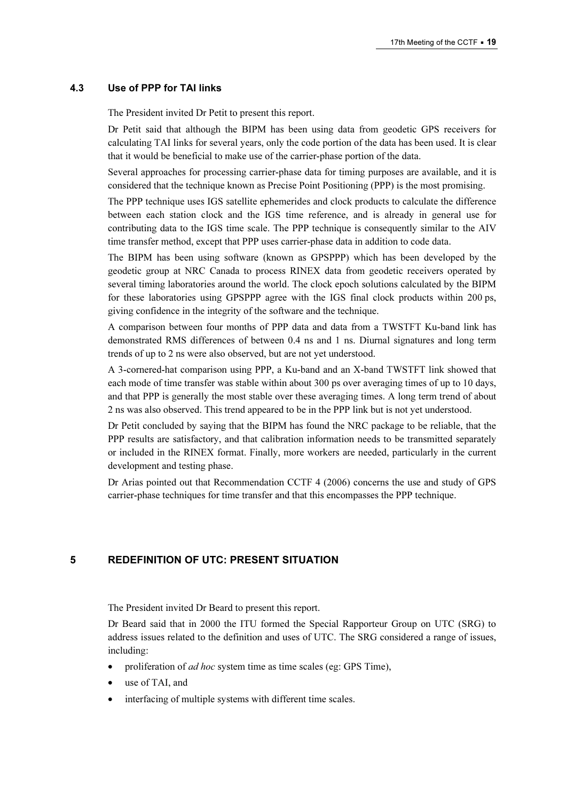#### 4.3 Use of PPP for TAI links

The President invited Dr Petit to present this report.

Dr Petit said that although the BIPM has been using data from geodetic GPS receivers for calculating TAI links for several years, only the code portion of the data has been used. It is clear that it would be beneficial to make use of the carrier-phase portion of the data.

Several approaches for processing carrier-phase data for timing purposes are available, and it is considered that the technique known as Precise Point Positioning (PPP) is the most promising.

The PPP technique uses IGS satellite ephemerides and clock products to calculate the difference between each station clock and the IGS time reference, and is already in general use for contributing data to the IGS time scale. The PPP technique is consequently similar to the AIV time transfer method, except that PPP uses carrier-phase data in addition to code data.

The BIPM has been using software (known as GPSPPP) which has been developed by the geodetic group at NRC Canada to process RINEX data from geodetic receivers operated by several timing laboratories around the world. The clock epoch solutions calculated by the BIPM for these laboratories using GPSPPP agree with the IGS final clock products within 200 ps, giving confidence in the integrity of the software and the technique.

A comparison between four months of PPP data and data from a TWSTFT Ku-band link has demonstrated RMS differences of between 0.4 ns and 1 ns. Diurnal signatures and long term trends of up to 2 ns were also observed, but are not yet understood.

A 3-cornered-hat comparison using PPP, a Ku-band and an X-band TWSTFT link showed that each mode of time transfer was stable within about 300 ps over averaging times of up to 10 days, and that PPP is generally the most stable over these averaging times. A long term trend of about 2 ns was also observed. This trend appeared to be in the PPP link but is not yet understood.

Dr Petit concluded by saying that the BIPM has found the NRC package to be reliable, that the PPP results are satisfactory, and that calibration information needs to be transmitted separately or included in the RINEX format. Finally, more workers are needed, particularly in the current development and testing phase.

Dr Arias pointed out that Recommendation CCTF 4 (2006) concerns the use and study of GPS carrier-phase techniques for time transfer and that this encompasses the PPP technique.

## 5 REDEFINITION OF UTC: PRESENT SITUATION

The President invited Dr Beard to present this report.

Dr Beard said that in 2000 the ITU formed the Special Rapporteur Group on UTC (SRG) to address issues related to the definition and uses of UTC. The SRG considered a range of issues, including:

- proliferation of *ad hoc* system time as time scales (eg: GPS Time),
- use of TAI, and
- interfacing of multiple systems with different time scales.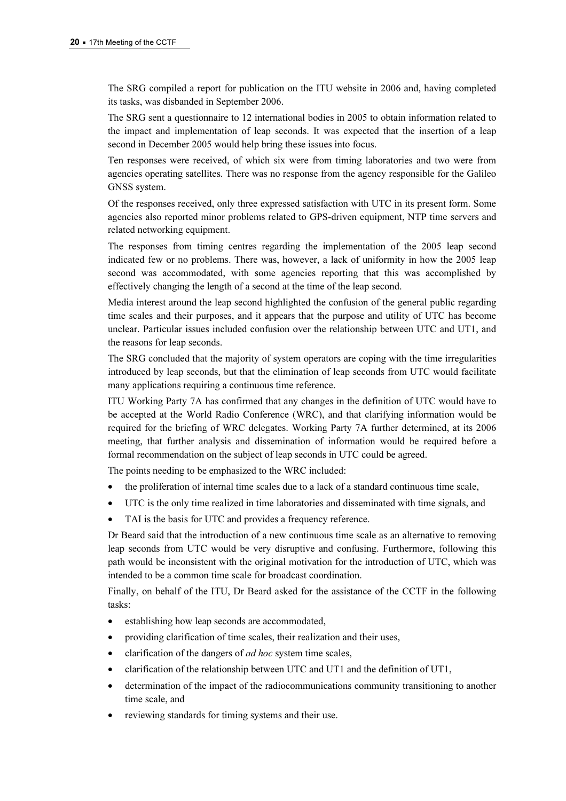The SRG compiled a report for publication on the ITU website in 2006 and, having completed its tasks, was disbanded in September 2006.

The SRG sent a questionnaire to 12 international bodies in 2005 to obtain information related to the impact and implementation of leap seconds. It was expected that the insertion of a leap second in December 2005 would help bring these issues into focus.

Ten responses were received, of which six were from timing laboratories and two were from agencies operating satellites. There was no response from the agency responsible for the Galileo GNSS system.

Of the responses received, only three expressed satisfaction with UTC in its present form. Some agencies also reported minor problems related to GPS-driven equipment, NTP time servers and related networking equipment.

The responses from timing centres regarding the implementation of the 2005 leap second indicated few or no problems. There was, however, a lack of uniformity in how the 2005 leap second was accommodated, with some agencies reporting that this was accomplished by effectively changing the length of a second at the time of the leap second.

Media interest around the leap second highlighted the confusion of the general public regarding time scales and their purposes, and it appears that the purpose and utility of UTC has become unclear. Particular issues included confusion over the relationship between UTC and UT1, and the reasons for leap seconds.

The SRG concluded that the majority of system operators are coping with the time irregularities introduced by leap seconds, but that the elimination of leap seconds from UTC would facilitate many applications requiring a continuous time reference.

ITU Working Party 7A has confirmed that any changes in the definition of UTC would have to be accepted at the World Radio Conference (WRC), and that clarifying information would be required for the briefing of WRC delegates. Working Party 7A further determined, at its 2006 meeting, that further analysis and dissemination of information would be required before a formal recommendation on the subject of leap seconds in UTC could be agreed.

The points needing to be emphasized to the WRC included:

- the proliferation of internal time scales due to a lack of a standard continuous time scale,
- UTC is the only time realized in time laboratories and disseminated with time signals, and
- TAI is the basis for UTC and provides a frequency reference.

Dr Beard said that the introduction of a new continuous time scale as an alternative to removing leap seconds from UTC would be very disruptive and confusing. Furthermore, following this path would be inconsistent with the original motivation for the introduction of UTC, which was intended to be a common time scale for broadcast coordination.

Finally, on behalf of the ITU, Dr Beard asked for the assistance of the CCTF in the following tasks:

- establishing how leap seconds are accommodated,
- providing clarification of time scales, their realization and their uses,
- clarification of the dangers of *ad hoc* system time scales,
- clarification of the relationship between UTC and UT1 and the definition of UT1,
- determination of the impact of the radiocommunications community transitioning to another time scale, and
- reviewing standards for timing systems and their use.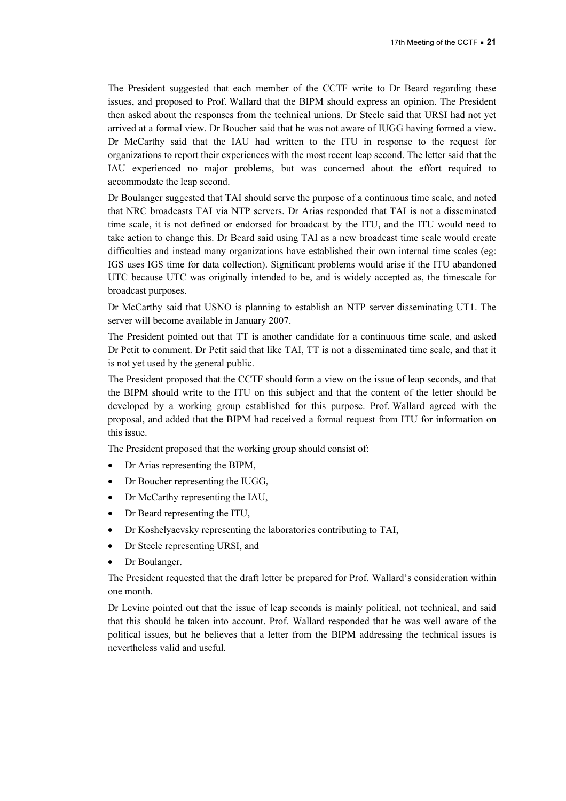The President suggested that each member of the CCTF write to Dr Beard regarding these issues, and proposed to Prof. Wallard that the BIPM should express an opinion. The President then asked about the responses from the technical unions. Dr Steele said that URSI had not yet arrived at a formal view. Dr Boucher said that he was not aware of IUGG having formed a view. Dr McCarthy said that the IAU had written to the ITU in response to the request for organizations to report their experiences with the most recent leap second. The letter said that the IAU experienced no major problems, but was concerned about the effort required to accommodate the leap second.

Dr Boulanger suggested that TAI should serve the purpose of a continuous time scale, and noted that NRC broadcasts TAI via NTP servers. Dr Arias responded that TAI is not a disseminated time scale, it is not defined or endorsed for broadcast by the ITU, and the ITU would need to take action to change this. Dr Beard said using TAI as a new broadcast time scale would create difficulties and instead many organizations have established their own internal time scales (eg: IGS uses IGS time for data collection). Significant problems would arise if the ITU abandoned UTC because UTC was originally intended to be, and is widely accepted as, the timescale for broadcast purposes.

Dr McCarthy said that USNO is planning to establish an NTP server disseminating UT1. The server will become available in January 2007.

The President pointed out that TT is another candidate for a continuous time scale, and asked Dr Petit to comment. Dr Petit said that like TAI, TT is not a disseminated time scale, and that it is not yet used by the general public.

The President proposed that the CCTF should form a view on the issue of leap seconds, and that the BIPM should write to the ITU on this subject and that the content of the letter should be developed by a working group established for this purpose. Prof. Wallard agreed with the proposal, and added that the BIPM had received a formal request from ITU for information on this issue.

The President proposed that the working group should consist of:

- Dr Arias representing the BIPM,
- Dr Boucher representing the IUGG,
- Dr McCarthy representing the IAU,
- Dr Beard representing the ITU,
- Dr Koshelyaevsky representing the laboratories contributing to TAI,
- Dr Steele representing URSI, and
- Dr Boulanger.

The President requested that the draft letter be prepared for Prof. Wallard's consideration within one month.

Dr Levine pointed out that the issue of leap seconds is mainly political, not technical, and said that this should be taken into account. Prof. Wallard responded that he was well aware of the political issues, but he believes that a letter from the BIPM addressing the technical issues is nevertheless valid and useful.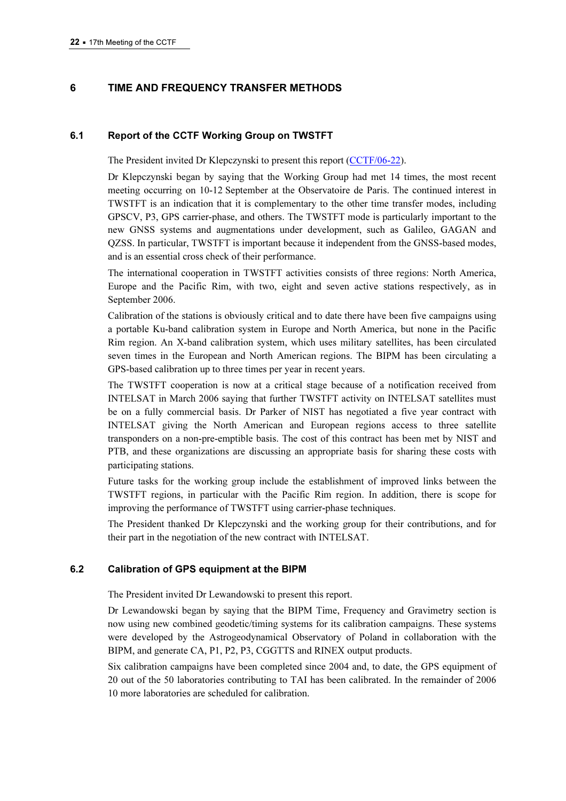## 6 TIME AND FREQUENCY TRANSFER METHODS

#### 6.1 Report of the CCTF Working Group on TWSTFT

The President invited Dr Klepczynski to present this report (CCTF/06-22).

Dr Klepczynski began by saying that the Workin[g Group had met 14 times, the](https://www.bipm.org/cc/CCTF/Allowed/17/TWSTFT_Chair_Report_090915.pdf) most recent meeting occurring on 10-12 September at the Observatoire de Paris. The continued interest in TWSTFT is an indication that it is complementary to the other time transfer modes, including GPSCV, P3, GPS carrier-phase, and others. The TWSTFT mode is particularly important to the new GNSS systems and augmentations under development, such as Galileo, GAGAN and QZSS. In particular, TWSTFT is important because it independent from the GNSS-based modes, and is an essential cross check of their performance.

The international cooperation in TWSTFT activities consists of three regions: North America, Europe and the Pacific Rim, with two, eight and seven active stations respectively, as in September 2006.

Calibration of the stations is obviously critical and to date there have been five campaigns using a portable Ku-band calibration system in Europe and North America, but none in the Pacific Rim region. An X-band calibration system, which uses military satellites, has been circulated seven times in the European and North American regions. The BIPM has been circulating a GPS-based calibration up to three times per year in recent years.

The TWSTFT cooperation is now at a critical stage because of a notification received from INTELSAT in March 2006 saying that further TWSTFT activity on INTELSAT satellites must be on a fully commercial basis. Dr Parker of NIST has negotiated a five year contract with INTELSAT giving the North American and European regions access to three satellite transponders on a non-pre-emptible basis. The cost of this contract has been met by NIST and PTB, and these organizations are discussing an appropriate basis for sharing these costs with participating stations.

Future tasks for the working group include the establishment of improved links between the TWSTFT regions, in particular with the Pacific Rim region. In addition, there is scope for improving the performance of TWSTFT using carrier-phase techniques.

The President thanked Dr Klepczynski and the working group for their contributions, and for their part in the negotiation of the new contract with INTELSAT.

#### 6.2 Calibration of GPS equipment at the BIPM

The President invited Dr Lewandowski to present this report.

Dr Lewandowski began by saying that the BIPM Time, Frequency and Gravimetry section is now using new combined geodetic/timing systems for its calibration campaigns. These systems were developed by the Astrogeodynamical Observatory of Poland in collaboration with the BIPM, and generate CA, P1, P2, P3, CGGTTS and RINEX output products.

Six calibration campaigns have been completed since 2004 and, to date, the GPS equipment of 20 out of the 50 laboratories contributing to TAI has been calibrated. In the remainder of 2006 10 more laboratories are scheduled for calibration.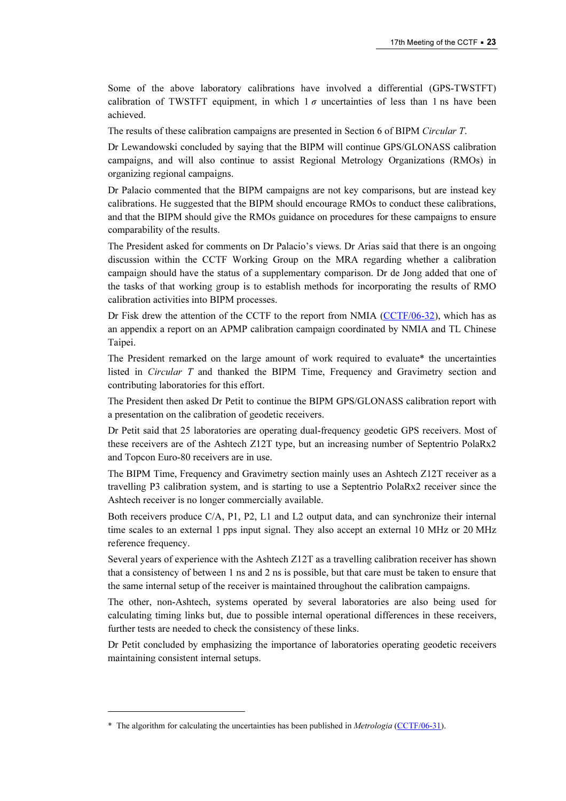Some of the above laboratory calibrations have involved a differential (GPS-TWSTFT) calibration of TWSTFT equipment, in which  $1\sigma$  uncertainties of less than 1 ns have been achieved.

The results of these calibration campaigns are presented in Section 6 of BIPM Circular T.

Dr Lewandowski concluded by saying that the BIPM will continue GPS/GLONASS calibration campaigns, and will also continue to assist Regional Metrology Organizations (RMOs) in organizing regional campaigns.

Dr Palacio commented that the BIPM campaigns are not key comparisons, but are instead key calibrations. He suggested that the BIPM should encourage RMOs to conduct these calibrations, and that the BIPM should give the RMOs guidance on procedures for these campaigns to ensure comparability of the results.

The President asked for comments on Dr Palacio's views. Dr Arias said that there is an ongoing discussion within the CCTF Working Group on the MRA regarding whether a calibration campaign should have the status of a supplementary comparison. Dr de Jong added that one of the tasks of that working group is to establish methods for incorporating the results of RMO calibration activities into BIPM processes.

Dr Fisk drew the attention of the CCTF to the report from [NMIA \(CCTF/06-32\), which h](https://www.bipm.org/cc/CCTF/Allowed/17/CCTF_report_NMIA.pdf)as as an appendix a report on an APMP calibration campaign coordinated by NMIA and TL Chinese Taipei.

The President remarked on the large amount of work required to evaluate\* the uncertainties listed in Circular T and thanked the BIPM Time, Frequency and Gravimetry section and contributing laboratories for this effort.

The President then asked Dr Petit to continue the BIPM GPS/GLONASS calibration report with a presentation on the calibration of geodetic receivers.

Dr Petit said that 25 laboratories are operating dual-frequency geodetic GPS receivers. Most of these receivers are of the Ashtech Z12T type, but an increasing number of Septentrio PolaRx2 and Topcon Euro-80 receivers are in use.

The BIPM Time, Frequency and Gravimetry section mainly uses an Ashtech Z12T receiver as a travelling P3 calibration system, and is starting to use a Septentrio PolaRx2 receiver since the Ashtech receiver is no longer commercially available.

Both receivers produce C/A, P1, P2, L1 and L2 output data, and can synchronize their internal time scales to an external 1 pps input signal. They also accept an external 10 MHz or 20 MHz reference frequency.

Several years of experience with the Ashtech Z12T as a travelling calibration receiver has shown that a consistency of between 1 ns and 2 ns is possible, but that care must be taken to ensure that the same internal setup of the receiver is maintained throughout the calibration campaigns.

The other, non-Ashtech, systems operated by several laboratories are also being used for calculating timing links but, due to possible internal operational differences in these receivers, further tests are needed to check the consistency of these links.

Dr Petit concluded by emphasizing the importance of laboratories operating geodetic receivers maintaining consistent internal setups.

 $\overline{a}$ 

<sup>\*</sup> The algorithm for calculating the uncertainties has been published in Metrologia [\(CCTF/06-31\).](https://www.bipm.org/cc/CCTF/Allowed/17/UTC_Uncert_.pdf)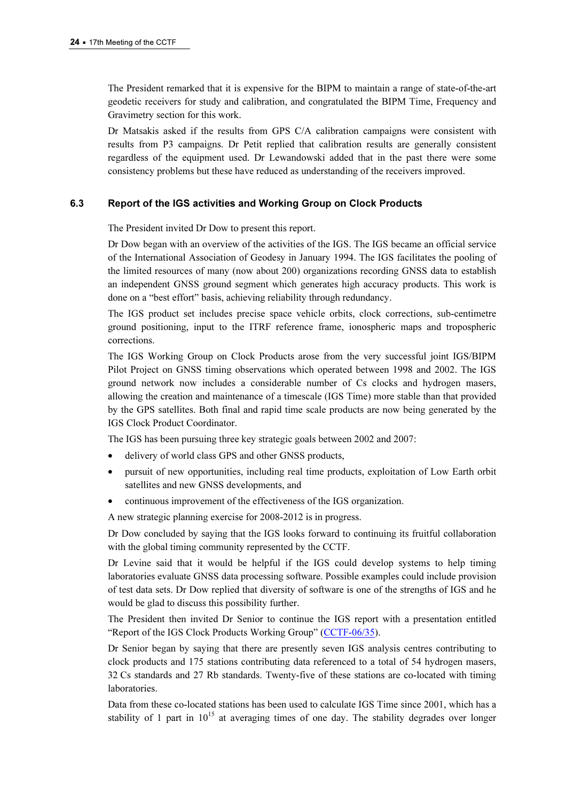The President remarked that it is expensive for the BIPM to maintain a range of state-of-the-art geodetic receivers for study and calibration, and congratulated the BIPM Time, Frequency and Gravimetry section for this work.

Dr Matsakis asked if the results from GPS C/A calibration campaigns were consistent with results from P3 campaigns. Dr Petit replied that calibration results are generally consistent regardless of the equipment used. Dr Lewandowski added that in the past there were some consistency problems but these have reduced as understanding of the receivers improved.

## 6.3 Report of the IGS activities and Working Group on Clock Products

The President invited Dr Dow to present this report.

Dr Dow began with an overview of the activities of the IGS. The IGS became an official service of the International Association of Geodesy in January 1994. The IGS facilitates the pooling of the limited resources of many (now about 200) organizations recording GNSS data to establish an independent GNSS ground segment which generates high accuracy products. This work is done on a "best effort" basis, achieving reliability through redundancy.

The IGS product set includes precise space vehicle orbits, clock corrections, sub-centimetre ground positioning, input to the ITRF reference frame, ionospheric maps and tropospheric corrections.

The IGS Working Group on Clock Products arose from the very successful joint IGS/BIPM Pilot Project on GNSS timing observations which operated between 1998 and 2002. The IGS ground network now includes a considerable number of Cs clocks and hydrogen masers, allowing the creation and maintenance of a timescale (IGS Time) more stable than that provided by the GPS satellites. Both final and rapid time scale products are now being generated by the IGS Clock Product Coordinator.

The IGS has been pursuing three key strategic goals between 2002 and 2007:

- delivery of world class GPS and other GNSS products,
- pursuit of new opportunities, including real time products, exploitation of Low Earth orbit satellites and new GNSS developments, and
- continuous improvement of the effectiveness of the IGS organization.

A new strategic planning exercise for 2008-2012 is in progress.

Dr Dow concluded by saying that the IGS looks forward to continuing its fruitful collaboration with the global timing community represented by the CCTF.

Dr Levine said that it would be helpful if the IGS could develop systems to help timing laboratories evaluate GNSS data processing software. Possible examples could include provision of test data sets. Dr Dow replied that diversity of software is one of the strengths of IGS and he would be glad to discuss this possibility further.

The President then invited Dr Senior to conti[nue the IGS report with](https://www.bipm.org/cc/CCTF/Allowed/17/CCTF2006-PRES15.pdf) a presentation entitled "Report of the IGS Clock Products Working Group" (CCTF-06/35).

Dr Senior began by saying that there are presently seven IGS analysis centres contributing to clock products and 175 stations contributing data referenced to a total of 54 hydrogen masers, 32 Cs standards and 27 Rb standards. Twenty-five of these stations are co-located with timing laboratories.

Data from these co-located stations has been used to calculate IGS Time since 2001, which has a stability of 1 part in  $10^{15}$  at averaging times of one day. The stability degrades over longer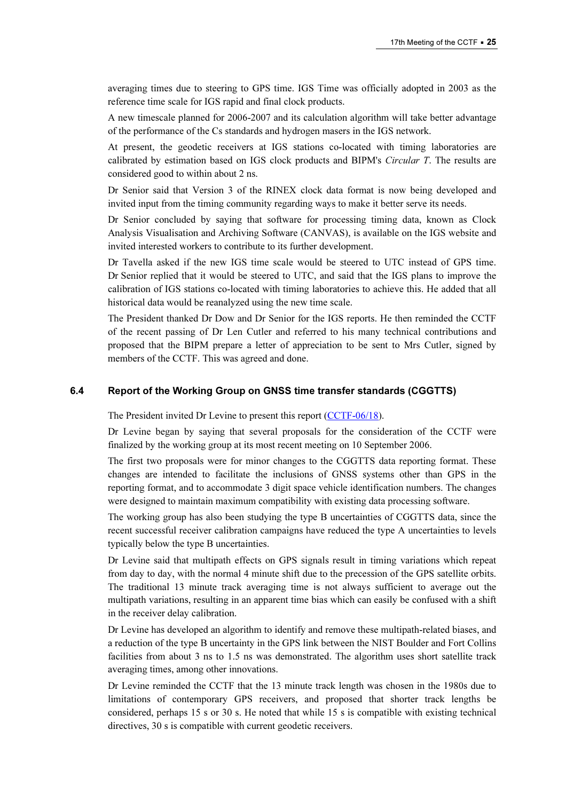averaging times due to steering to GPS time. IGS Time was officially adopted in 2003 as the reference time scale for IGS rapid and final clock products.

A new timescale planned for 2006-2007 and its calculation algorithm will take better advantage of the performance of the Cs standards and hydrogen masers in the IGS network.

At present, the geodetic receivers at IGS stations co-located with timing laboratories are calibrated by estimation based on IGS clock products and BIPM's Circular T. The results are considered good to within about 2 ns.

Dr Senior said that Version 3 of the RINEX clock data format is now being developed and invited input from the timing community regarding ways to make it better serve its needs.

Dr Senior concluded by saying that software for processing timing data, known as Clock Analysis Visualisation and Archiving Software (CANVAS), is available on the IGS website and invited interested workers to contribute to its further development.

Dr Tavella asked if the new IGS time scale would be steered to UTC instead of GPS time. Dr Senior replied that it would be steered to UTC, and said that the IGS plans to improve the calibration of IGS stations co-located with timing laboratories to achieve this. He added that all historical data would be reanalyzed using the new time scale.

The President thanked Dr Dow and Dr Senior for the IGS reports. He then reminded the CCTF of the recent passing of Dr Len Cutler and referred to his many technical contributions and proposed that the BIPM prepare a letter of appreciation to be sent to Mrs Cutler, signed by members of the CCTF. This was agreed and done.

#### 6.4 Report of the Working Group on GNSS time transfer standards (CGGTTS)

The President invited Dr Levine to present this report (CCTF-06/18).

Dr Levine began by saying that several propo[sals for the consideration](https://www.bipm.org/cc/CCTF/Allowed/17/CGGTTS_report.pdf) of the CCTF were finalized by the working group at its most recent meeting on 10 September 2006.

The first two proposals were for minor changes to the CGGTTS data reporting format. These changes are intended to facilitate the inclusions of GNSS systems other than GPS in the reporting format, and to accommodate 3 digit space vehicle identification numbers. The changes were designed to maintain maximum compatibility with existing data processing software.

The working group has also been studying the type B uncertainties of CGGTTS data, since the recent successful receiver calibration campaigns have reduced the type A uncertainties to levels typically below the type B uncertainties.

Dr Levine said that multipath effects on GPS signals result in timing variations which repeat from day to day, with the normal 4 minute shift due to the precession of the GPS satellite orbits. The traditional 13 minute track averaging time is not always sufficient to average out the multipath variations, resulting in an apparent time bias which can easily be confused with a shift in the receiver delay calibration.

Dr Levine has developed an algorithm to identify and remove these multipath-related biases, and a reduction of the type B uncertainty in the GPS link between the NIST Boulder and Fort Collins facilities from about 3 ns to 1.5 ns was demonstrated. The algorithm uses short satellite track averaging times, among other innovations.

Dr Levine reminded the CCTF that the 13 minute track length was chosen in the 1980s due to limitations of contemporary GPS receivers, and proposed that shorter track lengths be considered, perhaps 15 s or 30 s. He noted that while 15 s is compatible with existing technical directives, 30 s is compatible with current geodetic receivers.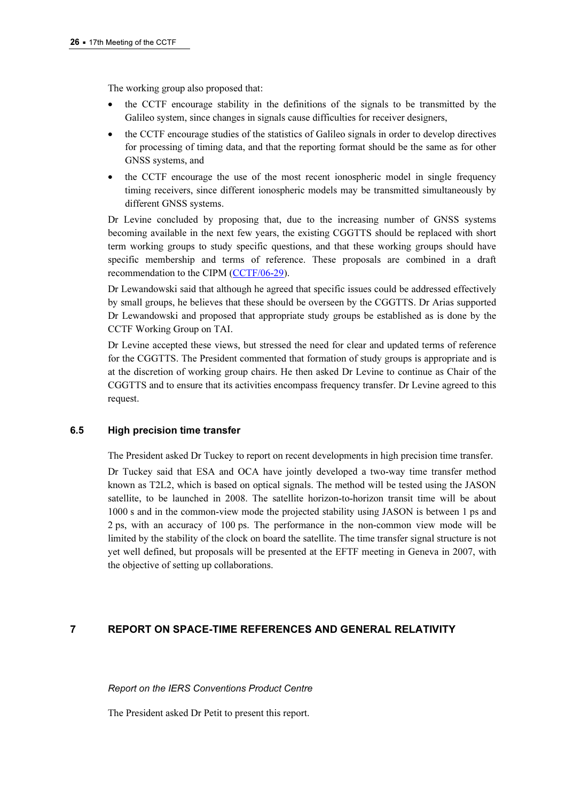The working group also proposed that:

- the CCTF encourage stability in the definitions of the signals to be transmitted by the Galileo system, since changes in signals cause difficulties for receiver designers,
- the CCTF encourage studies of the statistics of Galileo signals in order to develop directives for processing of timing data, and that the reporting format should be the same as for other GNSS systems, and
- the CCTF encourage the use of the most recent ionospheric model in single frequency timing receivers, since different ionospheric models may be transmitted simultaneously by different GNSS systems.

Dr Levine concluded by proposing that, due to the increasing number of GNSS systems becoming available in the next few years, the existing CGGTTS should be replaced with short term working groups to study specific questions, and that these working groups should have specific membership [and terms of reference. T](https://www.bipm.org/cc/CCTF/Allowed/17/cgtts_recomendation.pdf)hese proposals are combined in a draft recommendation to the CIPM (CCTF/06-29).

Dr Lewandowski said that although he agreed that specific issues could be addressed effectively by small groups, he believes that these should be overseen by the CGGTTS. Dr Arias supported Dr Lewandowski and proposed that appropriate study groups be established as is done by the CCTF Working Group on TAI.

Dr Levine accepted these views, but stressed the need for clear and updated terms of reference for the CGGTTS. The President commented that formation of study groups is appropriate and is at the discretion of working group chairs. He then asked Dr Levine to continue as Chair of the CGGTTS and to ensure that its activities encompass frequency transfer. Dr Levine agreed to this request.

#### 6.5 High precision time transfer

The President asked Dr Tuckey to report on recent developments in high precision time transfer.

Dr Tuckey said that ESA and OCA have jointly developed a two-way time transfer method known as T2L2, which is based on optical signals. The method will be tested using the JASON satellite, to be launched in 2008. The satellite horizon-to-horizon transit time will be about 1000 s and in the common-view mode the projected stability using JASON is between 1 ps and 2 ps, with an accuracy of 100 ps. The performance in the non-common view mode will be limited by the stability of the clock on board the satellite. The time transfer signal structure is not yet well defined, but proposals will be presented at the EFTF meeting in Geneva in 2007, with the objective of setting up collaborations.

#### 7 REPORT ON SPACE-TIME REFERENCES AND GENERAL RELATIVITY

Report on the IERS Conventions Product Centre

The President asked Dr Petit to present this report.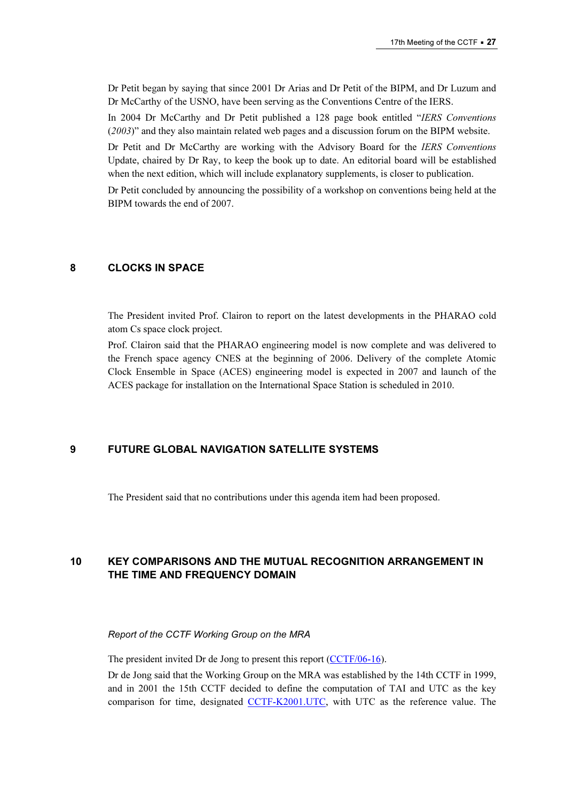Dr Petit began by saying that since 2001 Dr Arias and Dr Petit of the BIPM, and Dr Luzum and Dr McCarthy of the USNO, have been serving as the Conventions Centre of the IERS.

In 2004 Dr McCarthy and Dr Petit published a 128 page book entitled "IERS Conventions (2003)" and they also maintain related web pages and a discussion forum on the BIPM website.

Dr Petit and Dr McCarthy are working with the Advisory Board for the IERS Conventions Update, chaired by Dr Ray, to keep the book up to date. An editorial board will be established when the next edition, which will include explanatory supplements, is closer to publication.

Dr Petit concluded by announcing the possibility of a workshop on conventions being held at the BIPM towards the end of 2007.

## 8 CLOCKS IN SPACE

The President invited Prof. Clairon to report on the latest developments in the PHARAO cold atom Cs space clock project.

Prof. Clairon said that the PHARAO engineering model is now complete and was delivered to the French space agency CNES at the beginning of 2006. Delivery of the complete Atomic Clock Ensemble in Space (ACES) engineering model is expected in 2007 and launch of the ACES package for installation on the International Space Station is scheduled in 2010.

#### 9 FUTURE GLOBAL NAVIGATION SATELLITE SYSTEMS

The President said that no contributions under this agenda item had been proposed.

## 10 KEY COMPARISONS AND THE MUTUAL RECOGNITION ARRANGEMENT IN THE TIME AND FREQUENCY DOMAIN

#### Report of the CCTF Working Group on the MRA

The president invited Dr de Jong to present this report (CCTF/06-16).

Dr de Jong said that the Working Group on the MRA was established by the 14th CCTF in 1999, and in 2001 the 15th CCTF decided to define the computation of TAI and UTC as the key comparison for time, designa[ted CCTF-K2001.UTC, with](http://kcdb.bipm.org/AppendixB/KCDB_ApB_info.asp?cmp_idy=617&cmp_cod=CCTF%2DK2001%2EUTC&page=1&search=2&cmp_cod_search=CCTF%2DK2001%2EUTC&met_idy=&bra_idy=&epo_idy=&cmt_idy=&ett_idy_org=&lab_idy=) UTC as the reference value. The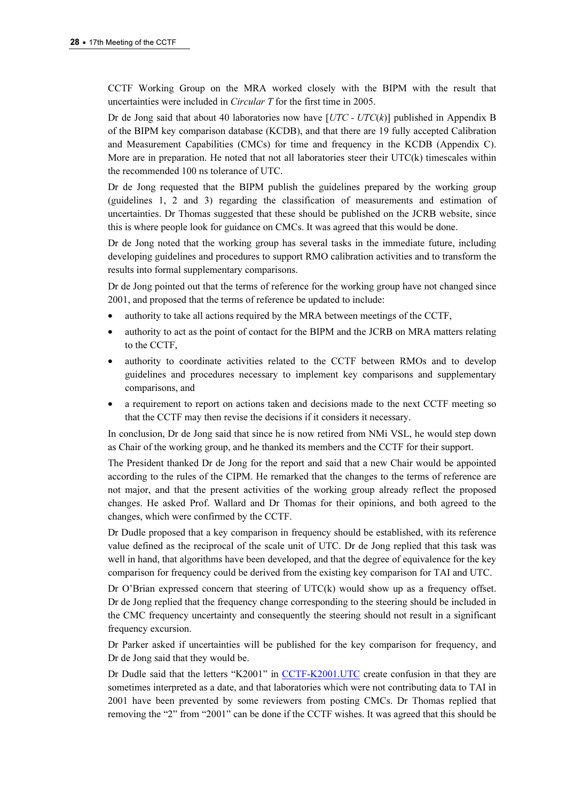CCTF Working Group on the MRA worked closely with the BIPM with the result that uncertainties were included in Circular T for the first time in 2005.

Dr de Jong said that about 40 laboratories now have  $[UTC - UTC(k)]$  published in Appendix B of the BIPM key comparison database (KCDB), and that there are 19 fully accepted Calibration and Measurement Capabilities (CMCs) for time and frequency in the KCDB (Appendix C). More are in preparation. He noted that not all laboratories steer their  $\text{UTC}(k)$  timescales within the recommended 100 ns tolerance of UTC.

Dr de Jong requested that the BIPM publish the guidelines prepared by the working group (guidelines 1, 2 and 3) regarding the classification of measurements and estimation of uncertainties. Dr Thomas suggested that these should be published on the JCRB website, since this is where people look for guidance on CMCs. It was agreed that this would be done.

Dr de Jong noted that the working group has several tasks in the immediate future, including developing guidelines and procedures to support RMO calibration activities and to transform the results into formal supplementary comparisons.

Dr de Jong pointed out that the terms of reference for the working group have not changed since 2001, and proposed that the terms of reference be updated to include:

- authority to take all actions required by the MRA between meetings of the CCTF,
- authority to act as the point of contact for the BIPM and the JCRB on MRA matters relating to the CCTF,
- authority to coordinate activities related to the CCTF between RMOs and to develop guidelines and procedures necessary to implement key comparisons and supplementary comparisons, and
- a requirement to report on actions taken and decisions made to the next CCTF meeting so that the CCTF may then revise the decisions if it considers it necessary.

In conclusion, Dr de Jong said that since he is now retired from NMi VSL, he would step down as Chair of the working group, and he thanked its members and the CCTF for their support.

The President thanked Dr de Jong for the report and said that a new Chair would be appointed according to the rules of the CIPM. He remarked that the changes to the terms of reference are not major, and that the present activities of the working group already reflect the proposed changes. He asked Prof. Wallard and Dr Thomas for their opinions, and both agreed to the changes, which were confirmed by the CCTF.

Dr Dudle proposed that a key comparison in frequency should be established, with its reference value defined as the reciprocal of the scale unit of UTC. Dr de Jong replied that this task was well in hand, that algorithms have been developed, and that the degree of equivalence for the key comparison for frequency could be derived from the existing key comparison for TAI and UTC.

Dr O'Brian expressed concern that steering of  $UTC(k)$  would show up as a frequency offset. Dr de Jong replied that the frequency change corresponding to the steering should be included in the CMC frequency uncertainty and consequently the steering should not result in a significant frequency excursion.

Dr Parker asked if uncertainties will be published for the key comparison for frequency, and Dr de Jong said that they would be.

Dr Dudle said that the letters "K2[001" in CCTF-K2001.UTC create co](http://kcdb.bipm.org/AppendixB/KCDB_ApB_info.asp?cmp_idy=617&cmp_cod=CCTF%2DK2001%2EUTC&page=1&search=2&cmp_cod_search=CCTF%2DK2001%2EUTC&met_idy=&bra_idy=&epo_idy=&cmt_idy=&ett_idy_org=&lab_idy=)nfusion in that they are sometimes interpreted as a date, and that laboratories which were not contributing data to TAI in 2001 have been prevented by some reviewers from posting CMCs. Dr Thomas replied that removing the "2" from "2001" can be done if the CCTF wishes. It was agreed that this should be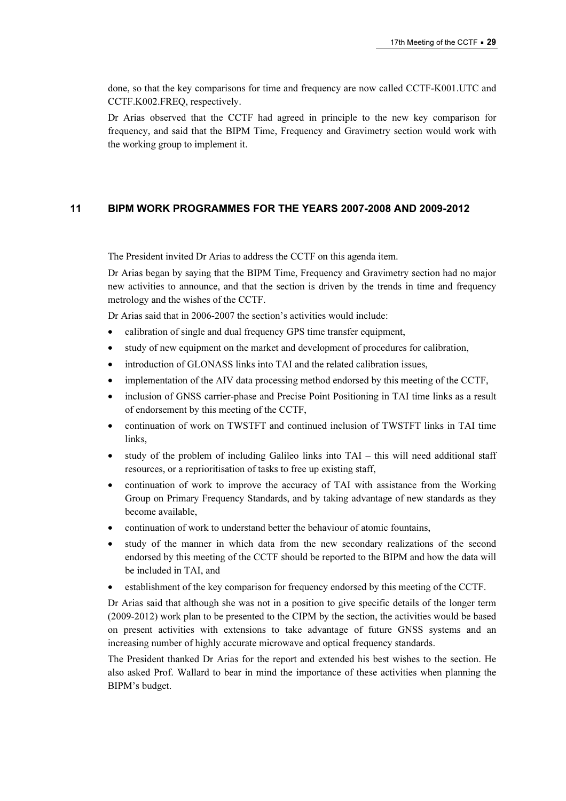done, so that the key comparisons for time and frequency are now called CCTF-K001.UTC and CCTF.K002.FREQ, respectively.

Dr Arias observed that the CCTF had agreed in principle to the new key comparison for frequency, and said that the BIPM Time, Frequency and Gravimetry section would work with the working group to implement it.

## 11 BIPM WORK PROGRAMMES FOR THE YEARS 2007-2008 AND 2009-2012

The President invited Dr Arias to address the CCTF on this agenda item.

Dr Arias began by saying that the BIPM Time, Frequency and Gravimetry section had no major new activities to announce, and that the section is driven by the trends in time and frequency metrology and the wishes of the CCTF.

Dr Arias said that in 2006-2007 the section's activities would include:

- calibration of single and dual frequency GPS time transfer equipment,
- study of new equipment on the market and development of procedures for calibration,
- introduction of GLONASS links into TAI and the related calibration issues,
- implementation of the AIV data processing method endorsed by this meeting of the CCTF,
- inclusion of GNSS carrier-phase and Precise Point Positioning in TAI time links as a result of endorsement by this meeting of the CCTF,
- continuation of work on TWSTFT and continued inclusion of TWSTFT links in TAI time links,
- study of the problem of including Galileo links into  $TAI this$  will need additional staff resources, or a reprioritisation of tasks to free up existing staff,
- continuation of work to improve the accuracy of TAI with assistance from the Working Group on Primary Frequency Standards, and by taking advantage of new standards as they become available,
- continuation of work to understand better the behaviour of atomic fountains,
- study of the manner in which data from the new secondary realizations of the second endorsed by this meeting of the CCTF should be reported to the BIPM and how the data will be included in TAI, and
- establishment of the key comparison for frequency endorsed by this meeting of the CCTF.

Dr Arias said that although she was not in a position to give specific details of the longer term (2009-2012) work plan to be presented to the CIPM by the section, the activities would be based on present activities with extensions to take advantage of future GNSS systems and an increasing number of highly accurate microwave and optical frequency standards.

The President thanked Dr Arias for the report and extended his best wishes to the section. He also asked Prof. Wallard to bear in mind the importance of these activities when planning the BIPM's budget.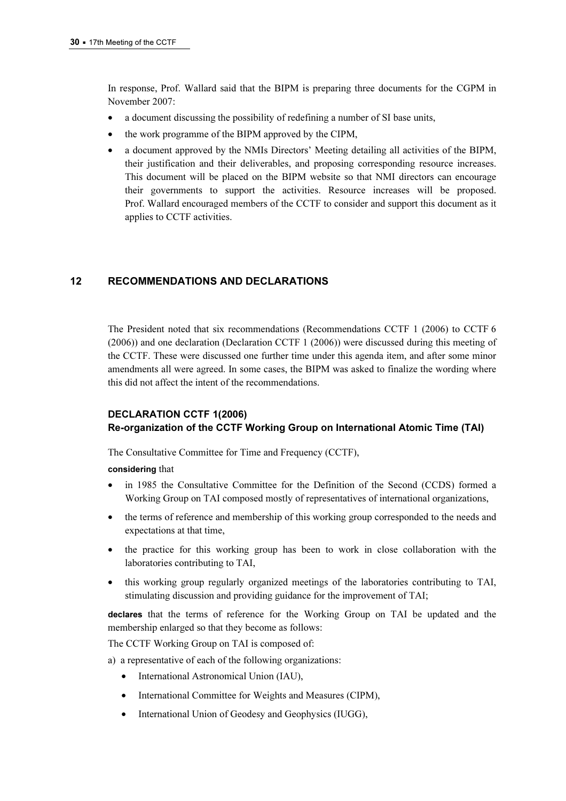In response, Prof. Wallard said that the BIPM is preparing three documents for the CGPM in November 2007:

- a document discussing the possibility of redefining a number of SI base units,
- the work programme of the BIPM approved by the CIPM,
- a document approved by the NMIs Directors' Meeting detailing all activities of the BIPM, their justification and their deliverables, and proposing corresponding resource increases. This document will be placed on the BIPM website so that NMI directors can encourage their governments to support the activities. Resource increases will be proposed. Prof. Wallard encouraged members of the CCTF to consider and support this document as it applies to CCTF activities.

## 12 RECOMMENDATIONS AND DECLARATIONS

The President noted that six recommendations (Recommendations CCTF 1 (2006) to CCTF 6 (2006)) and one declaration (Declaration CCTF 1 (2006)) were discussed during this meeting of the CCTF. These were discussed one further time under this agenda item, and after some minor amendments all were agreed. In some cases, the BIPM was asked to finalize the wording where this did not affect the intent of the recommendations.

## DECLARATION CCTF 1(2006) Re-organization of the CCTF Working Group on International Atomic Time (TAI)

The Consultative Committee for Time and Frequency (CCTF),

#### considering that

- in 1985 the Consultative Committee for the Definition of the Second (CCDS) formed a Working Group on TAI composed mostly of representatives of international organizations,
- the terms of reference and membership of this working group corresponded to the needs and expectations at that time,
- the practice for this working group has been to work in close collaboration with the laboratories contributing to TAI,
- this working group regularly organized meetings of the laboratories contributing to TAI, stimulating discussion and providing guidance for the improvement of TAI;

declares that the terms of reference for the Working Group on TAI be updated and the membership enlarged so that they become as follows:

The CCTF Working Group on TAI is composed of:

- a) a representative of each of the following organizations:
	- International Astronomical Union (IAU),
	- International Committee for Weights and Measures (CIPM),
	- International Union of Geodesy and Geophysics (IUGG),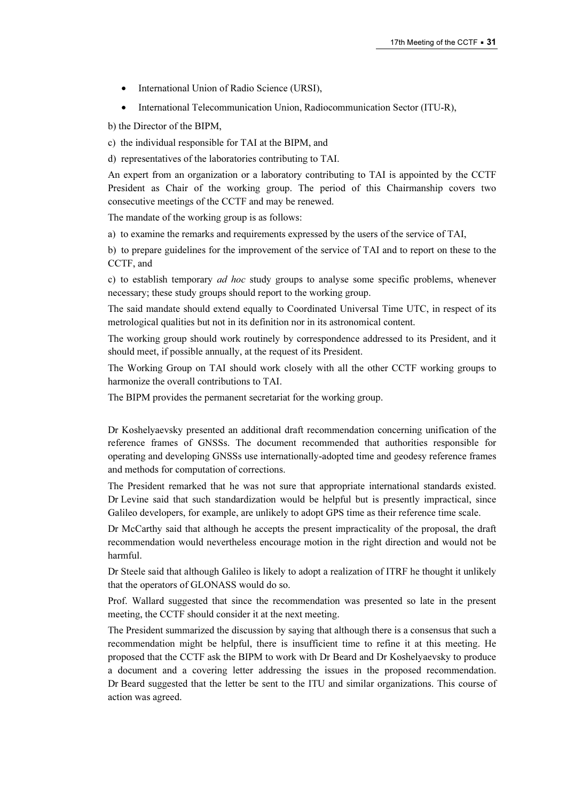- International Union of Radio Science (URSI),
- International Telecommunication Union, Radiocommunication Sector (ITU-R),

b) the Director of the BIPM,

c) the individual responsible for TAI at the BIPM, and

d) representatives of the laboratories contributing to TAI.

An expert from an organization or a laboratory contributing to TAI is appointed by the CCTF President as Chair of the working group. The period of this Chairmanship covers two consecutive meetings of the CCTF and may be renewed.

The mandate of the working group is as follows:

a) to examine the remarks and requirements expressed by the users of the service of TAI,

b) to prepare guidelines for the improvement of the service of TAI and to report on these to the CCTF, and

c) to establish temporary ad hoc study groups to analyse some specific problems, whenever necessary; these study groups should report to the working group.

The said mandate should extend equally to Coordinated Universal Time UTC, in respect of its metrological qualities but not in its definition nor in its astronomical content.

The working group should work routinely by correspondence addressed to its President, and it should meet, if possible annually, at the request of its President.

The Working Group on TAI should work closely with all the other CCTF working groups to harmonize the overall contributions to TAI.

The BIPM provides the permanent secretariat for the working group.

Dr Koshelyaevsky presented an additional draft recommendation concerning unification of the reference frames of GNSSs. The document recommended that authorities responsible for operating and developing GNSSs use internationally-adopted time and geodesy reference frames and methods for computation of corrections.

The President remarked that he was not sure that appropriate international standards existed. Dr Levine said that such standardization would be helpful but is presently impractical, since Galileo developers, for example, are unlikely to adopt GPS time as their reference time scale.

Dr McCarthy said that although he accepts the present impracticality of the proposal, the draft recommendation would nevertheless encourage motion in the right direction and would not be harmful.

Dr Steele said that although Galileo is likely to adopt a realization of ITRF he thought it unlikely that the operators of GLONASS would do so.

Prof. Wallard suggested that since the recommendation was presented so late in the present meeting, the CCTF should consider it at the next meeting.

The President summarized the discussion by saying that although there is a consensus that such a recommendation might be helpful, there is insufficient time to refine it at this meeting. He proposed that the CCTF ask the BIPM to work with Dr Beard and Dr Koshelyaevsky to produce a document and a covering letter addressing the issues in the proposed recommendation. Dr Beard suggested that the letter be sent to the ITU and similar organizations. This course of action was agreed.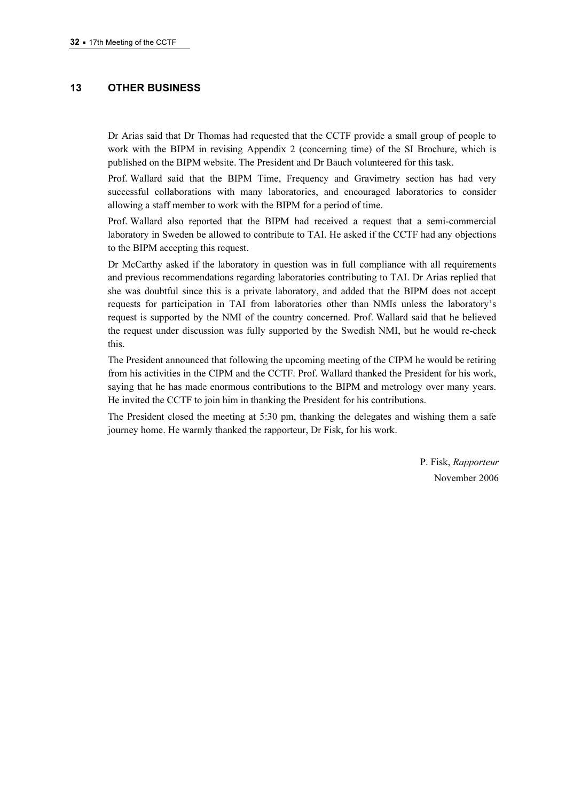## 13 OTHER BUSINESS

Dr Arias said that Dr Thomas had requested that the CCTF provide a small group of people to work with the BIPM in revising Appendix 2 (concerning time) of the SI Brochure, which is published on the BIPM website. The President and Dr Bauch volunteered for this task.

Prof. Wallard said that the BIPM Time, Frequency and Gravimetry section has had very successful collaborations with many laboratories, and encouraged laboratories to consider allowing a staff member to work with the BIPM for a period of time.

Prof. Wallard also reported that the BIPM had received a request that a semi-commercial laboratory in Sweden be allowed to contribute to TAI. He asked if the CCTF had any objections to the BIPM accepting this request.

Dr McCarthy asked if the laboratory in question was in full compliance with all requirements and previous recommendations regarding laboratories contributing to TAI. Dr Arias replied that she was doubtful since this is a private laboratory, and added that the BIPM does not accept requests for participation in TAI from laboratories other than NMIs unless the laboratory's request is supported by the NMI of the country concerned. Prof. Wallard said that he believed the request under discussion was fully supported by the Swedish NMI, but he would re-check this.

The President announced that following the upcoming meeting of the CIPM he would be retiring from his activities in the CIPM and the CCTF. Prof. Wallard thanked the President for his work, saying that he has made enormous contributions to the BIPM and metrology over many years. He invited the CCTF to join him in thanking the President for his contributions.

The President closed the meeting at 5:30 pm, thanking the delegates and wishing them a safe journey home. He warmly thanked the rapporteur, Dr Fisk, for his work.

> P. Fisk, Rapporteur November 2006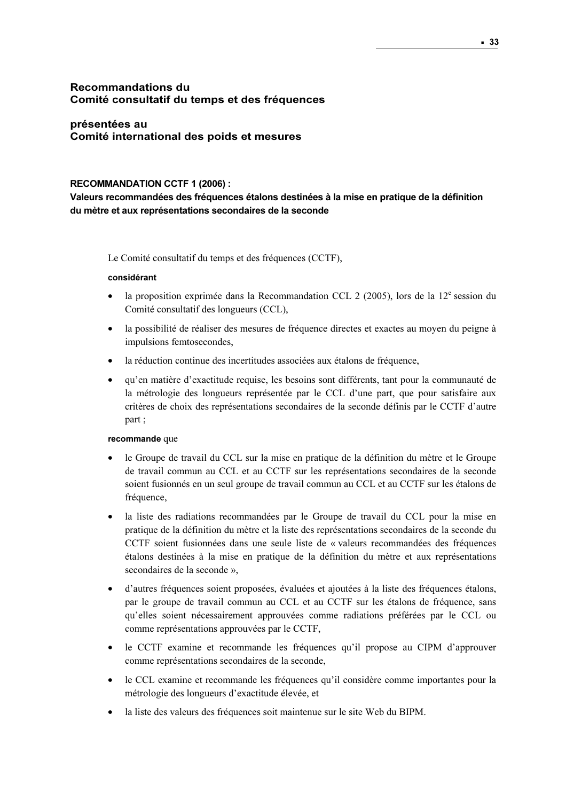## Recommandations du Comité consultatif du temps et des fréquences

## présentées au Comité international des poids et mesures

#### RECOMMANDATION CCTF 1 (2006) :

Valeurs recommandées des fréquences étalons destinées à la mise en pratique de la définition du mètre et aux représentations secondaires de la seconde

Le Comité consultatif du temps et des fréquences (CCTF),

#### considérant

- la proposition exprimée dans la Recommandation CCL 2 (2005), lors de la  $12^e$  session du Comité consultatif des longueurs (CCL),
- la possibilité de réaliser des mesures de fréquence directes et exactes au moyen du peigne à impulsions femtosecondes,
- la réduction continue des incertitudes associées aux étalons de fréquence,
- qu'en matière d'exactitude requise, les besoins sont différents, tant pour la communauté de la métrologie des longueurs représentée par le CCL d'une part, que pour satisfaire aux critères de choix des représentations secondaires de la seconde définis par le CCTF d'autre part ;

#### recommande que

- le Groupe de travail du CCL sur la mise en pratique de la définition du mètre et le Groupe de travail commun au CCL et au CCTF sur les représentations secondaires de la seconde soient fusionnés en un seul groupe de travail commun au CCL et au CCTF sur les étalons de fréquence,
- la liste des radiations recommandées par le Groupe de travail du CCL pour la mise en pratique de la définition du mètre et la liste des représentations secondaires de la seconde du CCTF soient fusionnées dans une seule liste de « valeurs recommandées des fréquences étalons destinées à la mise en pratique de la définition du mètre et aux représentations secondaires de la seconde »,
- d'autres fréquences soient proposées, évaluées et ajoutées à la liste des fréquences étalons, par le groupe de travail commun au CCL et au CCTF sur les étalons de fréquence, sans qu'elles soient nécessairement approuvées comme radiations préférées par le CCL ou comme représentations approuvées par le CCTF,
- le CCTF examine et recommande les fréquences qu'il propose au CIPM d'approuver comme représentations secondaires de la seconde,
- le CCL examine et recommande les fréquences qu'il considère comme importantes pour la métrologie des longueurs d'exactitude élevée, et
- la liste des valeurs des fréquences soit maintenue sur le site Web du BIPM.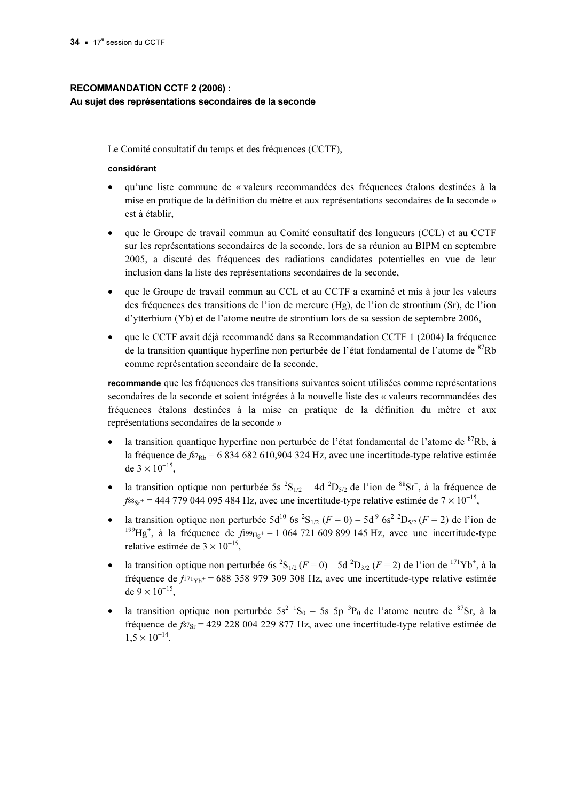## RECOMMANDATION CCTF 2 (2006) : Au sujet des représentations secondaires de la seconde

Le Comité consultatif du temps et des fréquences (CCTF),

#### considérant

- qu'une liste commune de « valeurs recommandées des fréquences étalons destinées à la mise en pratique de la définition du mètre et aux représentations secondaires de la seconde » est à établir,
- que le Groupe de travail commun au Comité consultatif des longueurs (CCL) et au CCTF sur les représentations secondaires de la seconde, lors de sa réunion au BIPM en septembre 2005, a discuté des fréquences des radiations candidates potentielles en vue de leur inclusion dans la liste des représentations secondaires de la seconde,
- que le Groupe de travail commun au CCL et au CCTF a examiné et mis à jour les valeurs des fréquences des transitions de l'ion de mercure (Hg), de l'ion de strontium (Sr), de l'ion d'ytterbium (Yb) et de l'atome neutre de strontium lors de sa session de septembre 2006,
- que le CCTF avait déjà recommandé dans sa Recommandation CCTF 1 (2004) la fréquence de la transition quantique hyperfine non perturbée de l'état fondamental de l'atome de <sup>87</sup>Rb comme représentation secondaire de la seconde,

recommande que les fréquences des transitions suivantes soient utilisées comme représentations secondaires de la seconde et soient intégrées à la nouvelle liste des « valeurs recommandées des fréquences étalons destinées à la mise en pratique de la définition du mètre et aux représentations secondaires de la seconde »

- la transition quantique hyperfine non perturbée de l'état fondamental de l'atome de <sup>87</sup>Rb, à la fréquence de  $f_{Rb}$  = 6 834 682 610,904 324 Hz, avec une incertitude-type relative estimée de  $3 \times 10^{-15}$ .
- la transition optique non perturbée 5s  ${}^{2}S_{1/2} 4d {}^{2}D_{5/2}$  de l'ion de  ${}^{88}Sr^{+}$ , à la fréquence de  $f_{88sr}$ + = 444 779 044 095 484 Hz, avec une incertitude-type relative estimée de 7 × 10<sup>-15</sup>,
- la transition optique non perturbée  $5d^{10}$  6s<sup>2</sup>S<sub>1/2</sub> ( $F = 0$ ) 5d<sup>9</sup> 6s<sup>2</sup><sup>2</sup>D<sub>5/2</sub> ( $F = 2$ ) de l'ion de <sup>199</sup>Hg<sup>+</sup>, à la fréquence de *f*<sup>199</sup>Hg<sup>+</sup> = 1 064 721 609 899 145 Hz, avec une incertitude-type relative estimée de  $3 \times 10^{-15}$ ,
- la transition optique non perturbée 6s  ${}^{2}S_{1/2}$  ( $F = 0$ ) 5d  ${}^{2}D_{3/2}$  ( $F = 2$ ) de l'ion de <sup>171</sup>Yb<sup>+</sup>, à la fréquence de  $f_{171y}$ + = 688 358 979 309 308 Hz, avec une incertitude-type relative estimée de  $9 \times 10^{-15}$ .
- la transition optique non perturbée  $5s^2$   ${}^1S_0$  5s  $5p$   ${}^3P_0$  de l'atome neutre de  ${}^{87}Sr$ , à la fréquence de  $f_{87sr}$  = 429 228 004 229 877 Hz, avec une incertitude-type relative estimée de  $1.5 \times 10^{-14}$ .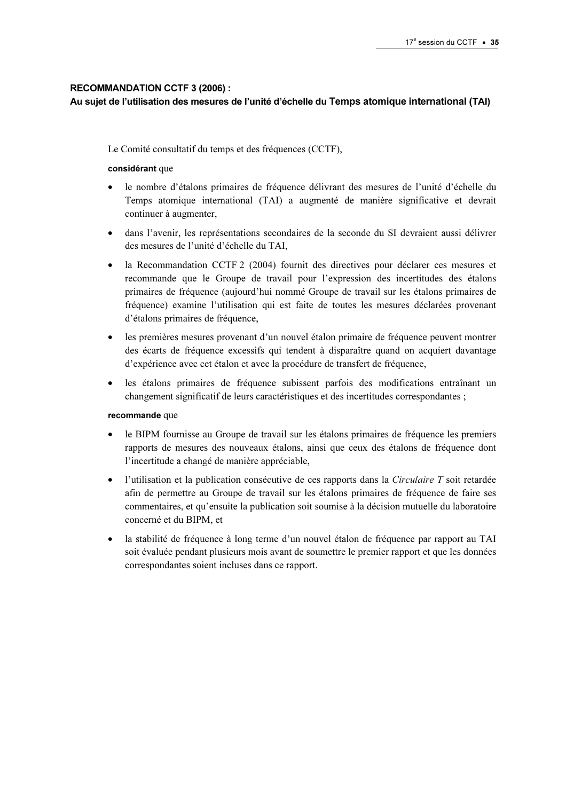#### RECOMMANDATION CCTF 3 (2006) :

#### Au sujet de l'utilisation des mesures de l'unité d'échelle du Temps atomique international (TAI)

Le Comité consultatif du temps et des fréquences (CCTF),

#### considérant que

- le nombre d'étalons primaires de fréquence délivrant des mesures de l'unité d'échelle du Temps atomique international (TAI) a augmenté de manière significative et devrait continuer à augmenter,
- dans l'avenir, les représentations secondaires de la seconde du SI devraient aussi délivrer des mesures de l'unité d'échelle du TAI,
- la Recommandation CCTF 2 (2004) fournit des directives pour déclarer ces mesures et recommande que le Groupe de travail pour l'expression des incertitudes des étalons primaires de fréquence (aujourd'hui nommé Groupe de travail sur les étalons primaires de fréquence) examine l'utilisation qui est faite de toutes les mesures déclarées provenant d'étalons primaires de fréquence,
- les premières mesures provenant d'un nouvel étalon primaire de fréquence peuvent montrer des écarts de fréquence excessifs qui tendent à disparaître quand on acquiert davantage d'expérience avec cet étalon et avec la procédure de transfert de fréquence,
- les étalons primaires de fréquence subissent parfois des modifications entraînant un changement significatif de leurs caractéristiques et des incertitudes correspondantes ;

#### recommande que

- le BIPM fournisse au Groupe de travail sur les étalons primaires de fréquence les premiers rapports de mesures des nouveaux étalons, ainsi que ceux des étalons de fréquence dont l'incertitude a changé de manière appréciable,
- l'utilisation et la publication consécutive de ces rapports dans la Circulaire T soit retardée afin de permettre au Groupe de travail sur les étalons primaires de fréquence de faire ses commentaires, et qu'ensuite la publication soit soumise à la décision mutuelle du laboratoire concerné et du BIPM, et
- la stabilité de fréquence à long terme d'un nouvel étalon de fréquence par rapport au TAI soit évaluée pendant plusieurs mois avant de soumettre le premier rapport et que les données correspondantes soient incluses dans ce rapport.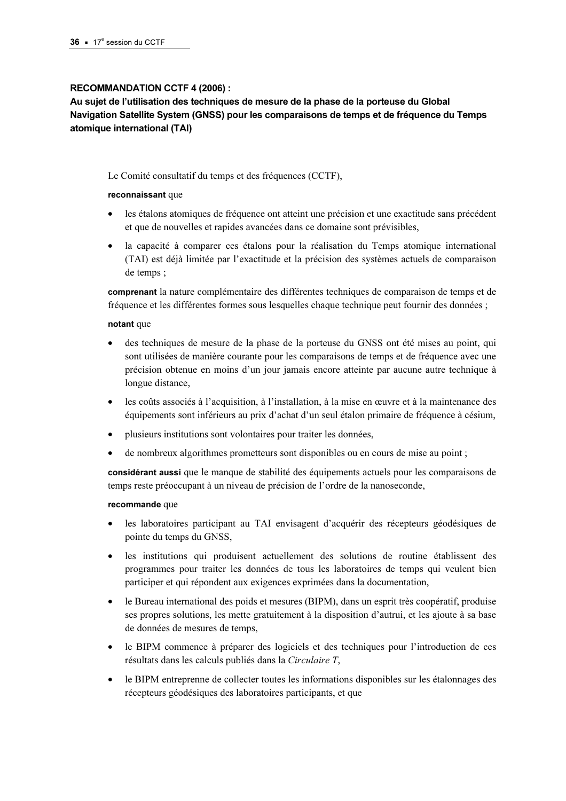#### RECOMMANDATION CCTF 4 (2006) :

Au sujet de l'utilisation des techniques de mesure de la phase de la porteuse du Global Navigation Satellite System (GNSS) pour les comparaisons de temps et de fréquence du Temps atomique international (TAI)

Le Comité consultatif du temps et des fréquences (CCTF),

#### reconnaissant que

- les étalons atomiques de fréquence ont atteint une précision et une exactitude sans précédent et que de nouvelles et rapides avancées dans ce domaine sont prévisibles,
- la capacité à comparer ces étalons pour la réalisation du Temps atomique international (TAI) est déjà limitée par l'exactitude et la précision des systèmes actuels de comparaison de temps ;

comprenant la nature complémentaire des différentes techniques de comparaison de temps et de fréquence et les différentes formes sous lesquelles chaque technique peut fournir des données ;

#### notant que

- des techniques de mesure de la phase de la porteuse du GNSS ont été mises au point, qui sont utilisées de manière courante pour les comparaisons de temps et de fréquence avec une précision obtenue en moins d'un jour jamais encore atteinte par aucune autre technique à longue distance,
- les coûts associés à l'acquisition, à l'installation, à la mise en œuvre et à la maintenance des équipements sont inférieurs au prix d'achat d'un seul étalon primaire de fréquence à césium,
- plusieurs institutions sont volontaires pour traiter les données,
- de nombreux algorithmes prometteurs sont disponibles ou en cours de mise au point ;

considérant aussi que le manque de stabilité des équipements actuels pour les comparaisons de temps reste préoccupant à un niveau de précision de l'ordre de la nanoseconde,

#### recommande que

- les laboratoires participant au TAI envisagent d'acquérir des récepteurs géodésiques de pointe du temps du GNSS,
- les institutions qui produisent actuellement des solutions de routine établissent des programmes pour traiter les données de tous les laboratoires de temps qui veulent bien participer et qui répondent aux exigences exprimées dans la documentation,
- le Bureau international des poids et mesures (BIPM), dans un esprit très coopératif, produise ses propres solutions, les mette gratuitement à la disposition d'autrui, et les ajoute à sa base de données de mesures de temps,
- le BIPM commence à préparer des logiciels et des techniques pour l'introduction de ces résultats dans les calculs publiés dans la Circulaire T,
- le BIPM entreprenne de collecter toutes les informations disponibles sur les étalonnages des récepteurs géodésiques des laboratoires participants, et que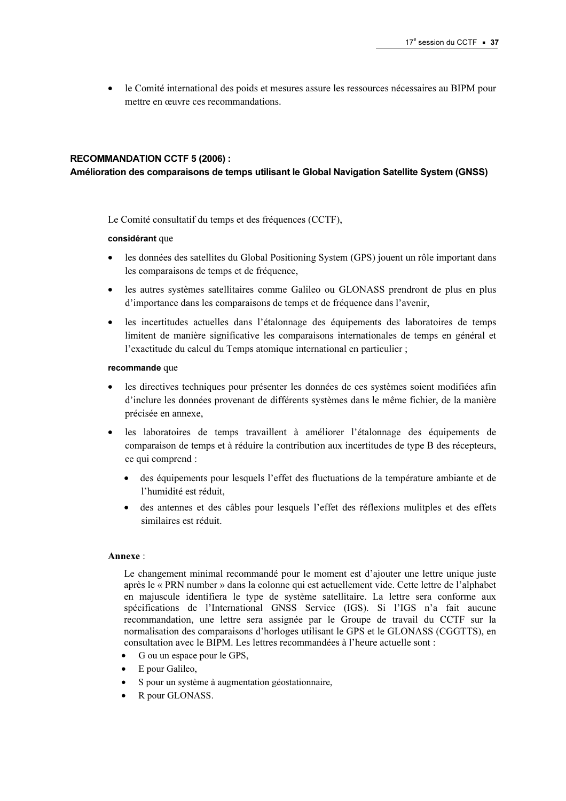• le Comité international des poids et mesures assure les ressources nécessaires au BIPM pour mettre en œuvre ces recommandations.

#### RECOMMANDATION CCTF 5 (2006) :

#### Amélioration des comparaisons de temps utilisant le Global Navigation Satellite System (GNSS)

Le Comité consultatif du temps et des fréquences (CCTF),

#### considérant que

- les données des satellites du Global Positioning System (GPS) jouent un rôle important dans les comparaisons de temps et de fréquence,
- les autres systèmes satellitaires comme Galileo ou GLONASS prendront de plus en plus d'importance dans les comparaisons de temps et de fréquence dans l'avenir,
- les incertitudes actuelles dans l'étalonnage des équipements des laboratoires de temps limitent de manière significative les comparaisons internationales de temps en général et l'exactitude du calcul du Temps atomique international en particulier ;

#### recommande que

- les directives techniques pour présenter les données de ces systèmes soient modifiées afin d'inclure les données provenant de différents systèmes dans le même fichier, de la manière précisée en annexe,
- les laboratoires de temps travaillent à améliorer l'étalonnage des équipements de comparaison de temps et à réduire la contribution aux incertitudes de type B des récepteurs, ce qui comprend :
	- des équipements pour lesquels l'effet des fluctuations de la température ambiante et de l'humidité est réduit,
	- des antennes et des câbles pour lesquels l'effet des réflexions mulitples et des effets similaires est réduit.

#### Annexe :

Le changement minimal recommandé pour le moment est d'ajouter une lettre unique juste après le « PRN number » dans la colonne qui est actuellement vide. Cette lettre de l'alphabet en majuscule identifiera le type de système satellitaire. La lettre sera conforme aux spécifications de l'International GNSS Service (IGS). Si l'IGS n'a fait aucune recommandation, une lettre sera assignée par le Groupe de travail du CCTF sur la normalisation des comparaisons d'horloges utilisant le GPS et le GLONASS (CGGTTS), en consultation avec le BIPM. Les lettres recommandées à l'heure actuelle sont :

- G ou un espace pour le GPS,
- E pour Galileo,
- S pour un système à augmentation géostationnaire,<br>• R pour GLONASS.
- R pour GLONASS.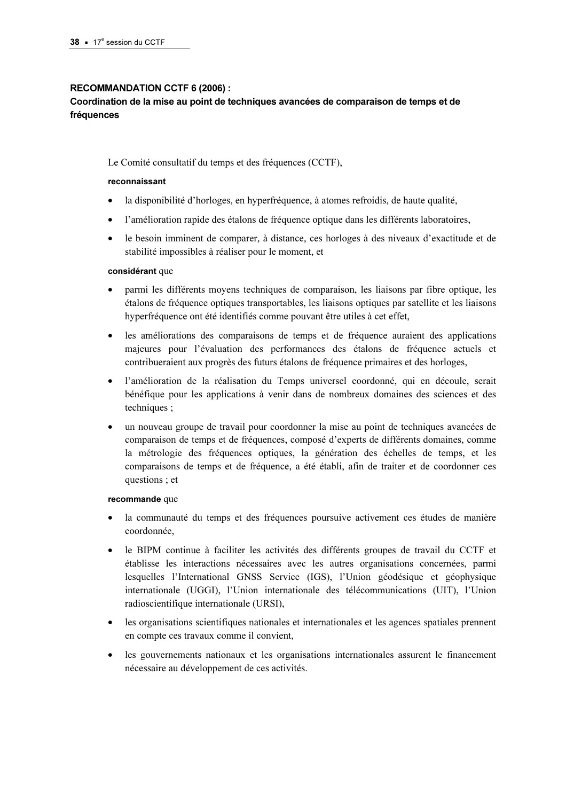#### RECOMMANDATION CCTF 6 (2006) :

## Coordination de la mise au point de techniques avancées de comparaison de temps et de fréquences

#### Le Comité consultatif du temps et des fréquences (CCTF),

#### reconnaissant

- la disponibilité d'horloges, en hyperfréquence, à atomes refroidis, de haute qualité,
- l'amélioration rapide des étalons de fréquence optique dans les différents laboratoires,
- le besoin imminent de comparer, à distance, ces horloges à des niveaux d'exactitude et de stabilité impossibles à réaliser pour le moment, et

#### considérant que

- parmi les différents moyens techniques de comparaison, les liaisons par fibre optique, les étalons de fréquence optiques transportables, les liaisons optiques par satellite et les liaisons hyperfréquence ont été identifiés comme pouvant être utiles à cet effet,
- les améliorations des comparaisons de temps et de fréquence auraient des applications majeures pour l'évaluation des performances des étalons de fréquence actuels et contribueraient aux progrès des futurs étalons de fréquence primaires et des horloges,
- l'amélioration de la réalisation du Temps universel coordonné, qui en découle, serait bénéfique pour les applications à venir dans de nombreux domaines des sciences et des techniques ;
- un nouveau groupe de travail pour coordonner la mise au point de techniques avancées de comparaison de temps et de fréquences, composé d'experts de différents domaines, comme la métrologie des fréquences optiques, la génération des échelles de temps, et les comparaisons de temps et de fréquence, a été établi, afin de traiter et de coordonner ces questions ; et

#### recommande que

- la communauté du temps et des fréquences poursuive activement ces études de manière coordonnée,
- le BIPM continue à faciliter les activités des différents groupes de travail du CCTF et établisse les interactions nécessaires avec les autres organisations concernées, parmi lesquelles l'International GNSS Service (IGS), l'Union géodésique et géophysique internationale (UGGI), l'Union internationale des télécommunications (UIT), l'Union radioscientifique internationale (URSI),
- les organisations scientifiques nationales et internationales et les agences spatiales prennent en compte ces travaux comme il convient,
- les gouvernements nationaux et les organisations internationales assurent le financement nécessaire au développement de ces activités.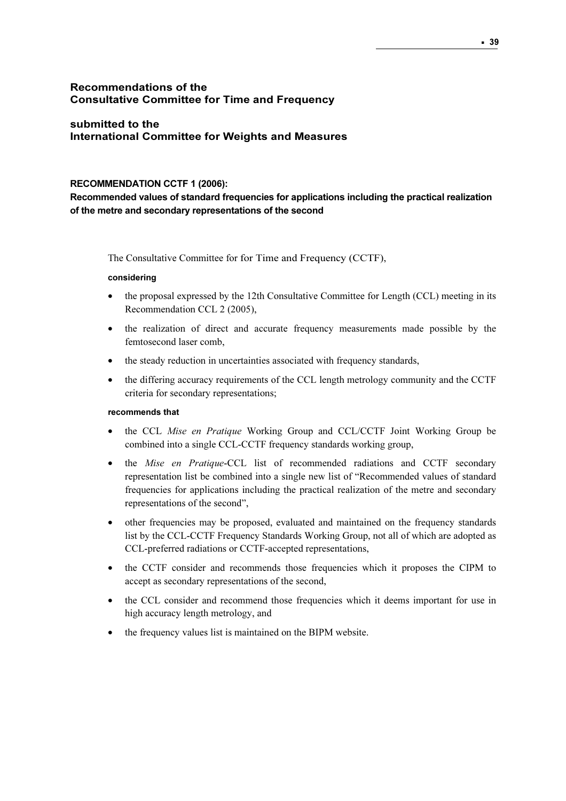## Recommendations of the Consultative Committee for Time and Frequency

## submitted to the International Committee for Weights and Measures

#### RECOMMENDATION CCTF 1 (2006):

Recommended values of standard frequencies for applications including the practical realization of the metre and secondary representations of the second

The Consultative Committee for for Time and Frequency (CCTF),

#### considering

- the proposal expressed by the 12th Consultative Committee for Length (CCL) meeting in its Recommendation CCL 2 (2005),
- the realization of direct and accurate frequency measurements made possible by the femtosecond laser comb,
- the steady reduction in uncertainties associated with frequency standards,
- the differing accuracy requirements of the CCL length metrology community and the CCTF criteria for secondary representations;

#### recommends that

- the CCL Mise en Pratique Working Group and CCL/CCTF Joint Working Group be combined into a single CCL-CCTF frequency standards working group,
- the Mise en Pratique-CCL list of recommended radiations and CCTF secondary representation list be combined into a single new list of "Recommended values of standard frequencies for applications including the practical realization of the metre and secondary representations of the second",
- other frequencies may be proposed, evaluated and maintained on the frequency standards list by the CCL-CCTF Frequency Standards Working Group, not all of which are adopted as CCL-preferred radiations or CCTF-accepted representations,
- the CCTF consider and recommends those frequencies which it proposes the CIPM to accept as secondary representations of the second,
- the CCL consider and recommend those frequencies which it deems important for use in high accuracy length metrology, and
- the frequency values list is maintained on the BIPM website.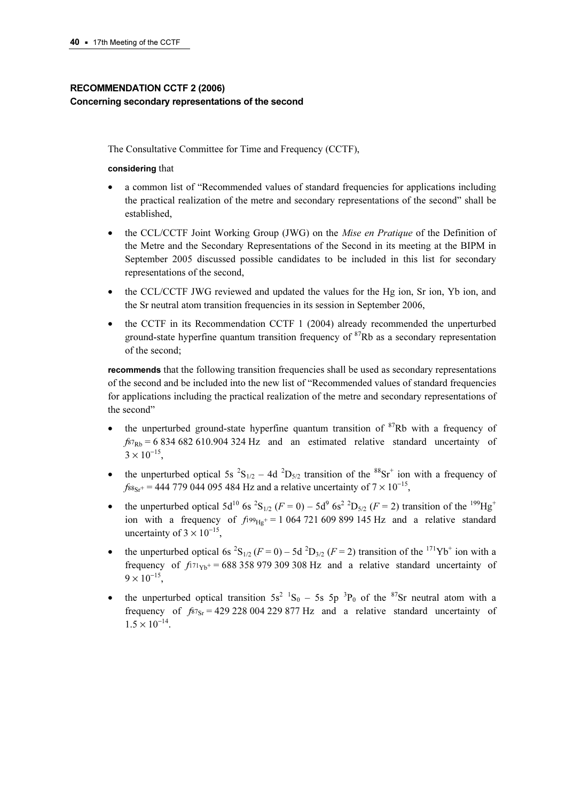## RECOMMENDATION CCTF 2 (2006) Concerning secondary representations of the second

The Consultative Committee for Time and Frequency (CCTF),

#### considering that

- a common list of "Recommended values of standard frequencies for applications including the practical realization of the metre and secondary representations of the second" shall be established,
- the CCL/CCTF Joint Working Group (JWG) on the *Mise en Pratique* of the Definition of the Metre and the Secondary Representations of the Second in its meeting at the BIPM in September 2005 discussed possible candidates to be included in this list for secondary representations of the second,
- the CCL/CCTF JWG reviewed and updated the values for the Hg ion, Sr ion, Yb ion, and the Sr neutral atom transition frequencies in its session in September 2006,
- the CCTF in its Recommendation CCTF 1 (2004) already recommended the unperturbed ground-state hyperfine quantum transition frequency of  ${}^{87}Rb$  as a secondary representation of the second;

recommends that the following transition frequencies shall be used as secondary representations of the second and be included into the new list of "Recommended values of standard frequencies for applications including the practical realization of the metre and secondary representations of the second"

- the unperturbed ground-state hyperfine quantum transition of  ${}^{87}Rb$  with a frequency of  $f_{87Rb}$  = 6 834 682 610.904 324 Hz and an estimated relative standard uncertainty of  $3 \times 10^{-15}$ ,
- the unperturbed optical 5s  ${}^2S_{1/2}$  4d  ${}^2D_{5/2}$  transition of the  ${}^{88}Sr^+$  ion with a frequency of  $f_{88s}$ + = 444 779 044 095 484 Hz and a relative uncertainty of  $7 \times 10^{-15}$ ,
- the unperturbed optical  $5d^{10}$  6s  ${}^{2}S_{1/2}$  ( $F = 0$ )  $5d^{9}$  6s<sup>2</sup>  ${}^{2}D_{5/2}$  ( $F = 2$ ) transition of the <sup>199</sup>Hg<sup>+</sup> ion with a frequency of  $f_{199_{\text{He}}+}=1064721609899145 \text{ Hz}$  and a relative standard uncertainty of  $3 \times 10^{-15}$ ,
- the unperturbed optical 6s  ${}^{2}S_{1/2}$  ( $F = 0$ ) 5d  ${}^{2}D_{3/2}$  ( $F = 2$ ) transition of the  ${}^{1/1}Yb^{+}$  ion with a frequency of  $f_{171Yb^+}$  = 688 358 979 309 308 Hz and a relative standard uncertainty of  $9 \times 10^{-15}$
- the unperturbed optical transition  $5s^2$   ${}^1S_0$  5s  $5p$   ${}^3P_0$  of the  ${}^8$ 'Sr neutral atom with a frequency of  $f_{87s} = 429228004229877 \text{ Hz}$  and a relative standard uncertainty of  $1.5 \times 10^{-14}$ .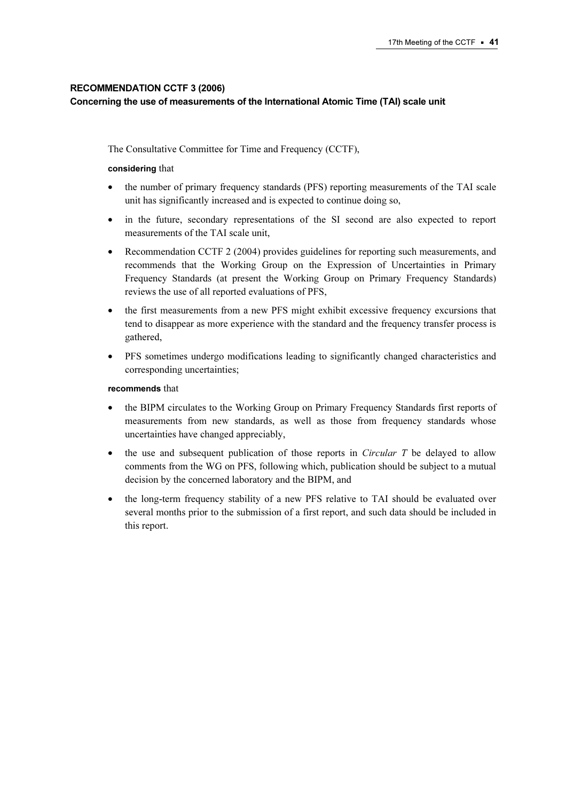## RECOMMENDATION CCTF 3 (2006)

#### Concerning the use of measurements of the International Atomic Time (TAI) scale unit

The Consultative Committee for Time and Frequency (CCTF),

#### considering that

- the number of primary frequency standards (PFS) reporting measurements of the TAI scale unit has significantly increased and is expected to continue doing so,
- in the future, secondary representations of the SI second are also expected to report measurements of the TAI scale unit,
- Recommendation CCTF 2 (2004) provides guidelines for reporting such measurements, and recommends that the Working Group on the Expression of Uncertainties in Primary Frequency Standards (at present the Working Group on Primary Frequency Standards) reviews the use of all reported evaluations of PFS,
- the first measurements from a new PFS might exhibit excessive frequency excursions that tend to disappear as more experience with the standard and the frequency transfer process is gathered,
- PFS sometimes undergo modifications leading to significantly changed characteristics and corresponding uncertainties;

#### recommends that

- the BIPM circulates to the Working Group on Primary Frequency Standards first reports of measurements from new standards, as well as those from frequency standards whose uncertainties have changed appreciably,
- the use and subsequent publication of those reports in *Circular T* be delayed to allow comments from the WG on PFS, following which, publication should be subject to a mutual decision by the concerned laboratory and the BIPM, and
- the long-term frequency stability of a new PFS relative to TAI should be evaluated over several months prior to the submission of a first report, and such data should be included in this report.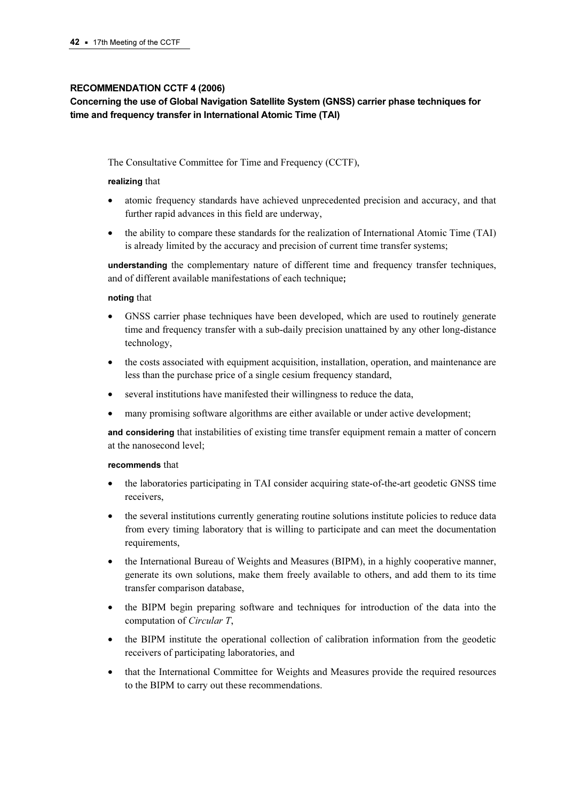#### RECOMMENDATION CCTF 4 (2006)

## Concerning the use of Global Navigation Satellite System (GNSS) carrier phase techniques for time and frequency transfer in International Atomic Time (TAI)

The Consultative Committee for Time and Frequency (CCTF),

#### realizing that

- atomic frequency standards have achieved unprecedented precision and accuracy, and that further rapid advances in this field are underway,
- the ability to compare these standards for the realization of International Atomic Time (TAI) is already limited by the accuracy and precision of current time transfer systems;

understanding the complementary nature of different time and frequency transfer techniques, and of different available manifestations of each technique;

#### noting that

- GNSS carrier phase techniques have been developed, which are used to routinely generate time and frequency transfer with a sub-daily precision unattained by any other long-distance technology,
- the costs associated with equipment acquisition, installation, operation, and maintenance are less than the purchase price of a single cesium frequency standard,
- several institutions have manifested their willingness to reduce the data,
- many promising software algorithms are either available or under active development;

and considering that instabilities of existing time transfer equipment remain a matter of concern at the nanosecond level;

#### recommends that

- the laboratories participating in TAI consider acquiring state-of-the-art geodetic GNSS time receivers,
- the several institutions currently generating routine solutions institute policies to reduce data from every timing laboratory that is willing to participate and can meet the documentation requirements,
- the International Bureau of Weights and Measures (BIPM), in a highly cooperative manner, generate its own solutions, make them freely available to others, and add them to its time transfer comparison database,
- the BIPM begin preparing software and techniques for introduction of the data into the computation of Circular T,
- the BIPM institute the operational collection of calibration information from the geodetic receivers of participating laboratories, and
- that the International Committee for Weights and Measures provide the required resources to the BIPM to carry out these recommendations.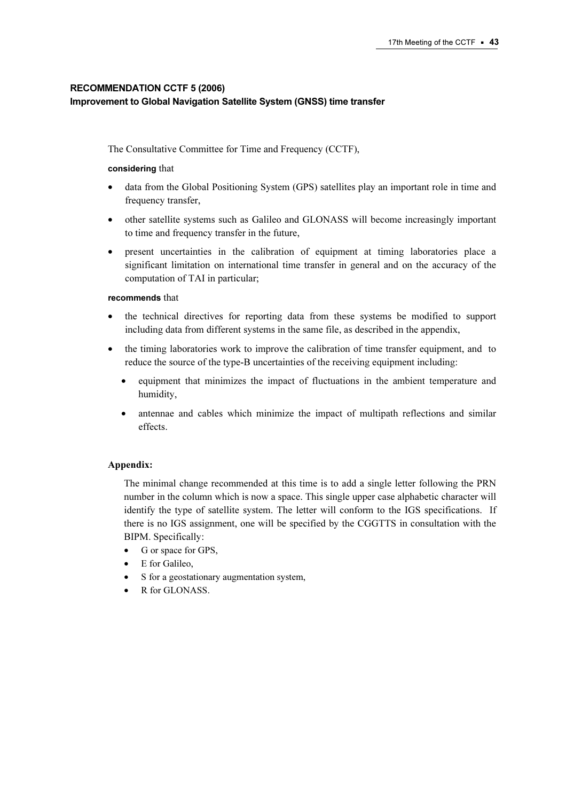## RECOMMENDATION CCTF 5 (2006) Improvement to Global Navigation Satellite System (GNSS) time transfer

The Consultative Committee for Time and Frequency (CCTF),

#### considering that

- data from the Global Positioning System (GPS) satellites play an important role in time and frequency transfer,
- other satellite systems such as Galileo and GLONASS will become increasingly important to time and frequency transfer in the future,
- present uncertainties in the calibration of equipment at timing laboratories place a significant limitation on international time transfer in general and on the accuracy of the computation of TAI in particular;

#### recommends that

- the technical directives for reporting data from these systems be modified to support including data from different systems in the same file, as described in the appendix,
- the timing laboratories work to improve the calibration of time transfer equipment, and to reduce the source of the type-B uncertainties of the receiving equipment including:
	- equipment that minimizes the impact of fluctuations in the ambient temperature and humidity,
	- antennae and cables which minimize the impact of multipath reflections and similar effects.

#### Appendix:

The minimal change recommended at this time is to add a single letter following the PRN number in the column which is now a space. This single upper case alphabetic character will identify the type of satellite system. The letter will conform to the IGS specifications. If there is no IGS assignment, one will be specified by the CGGTTS in consultation with the BIPM. Specifically:

- G or space for GPS,
- E for Galileo,
- S for a geostationary augmentation system,
- R for GLONASS.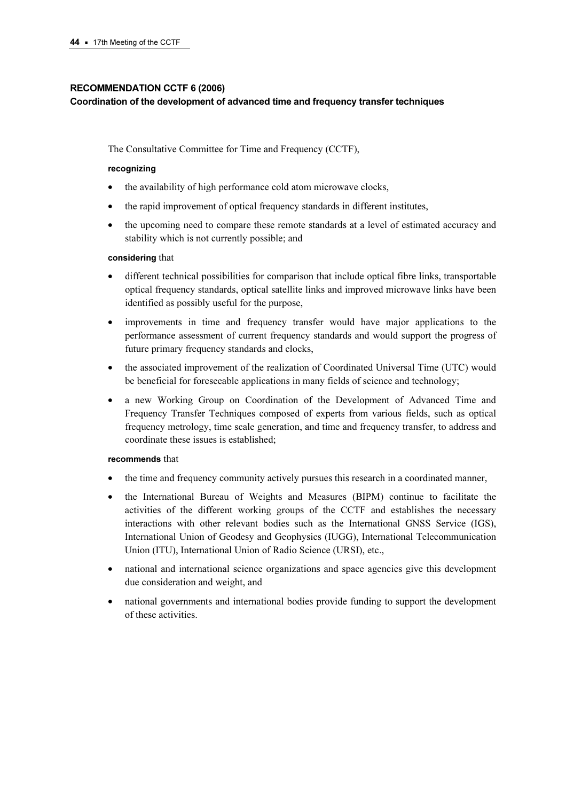#### RECOMMENDATION CCTF 6 (2006)

#### Coordination of the development of advanced time and frequency transfer techniques

The Consultative Committee for Time and Frequency (CCTF),

#### recognizing

- the availability of high performance cold atom microwave clocks,
- the rapid improvement of optical frequency standards in different institutes,
- the upcoming need to compare these remote standards at a level of estimated accuracy and stability which is not currently possible; and

#### considering that

- different technical possibilities for comparison that include optical fibre links, transportable optical frequency standards, optical satellite links and improved microwave links have been identified as possibly useful for the purpose,
- improvements in time and frequency transfer would have major applications to the performance assessment of current frequency standards and would support the progress of future primary frequency standards and clocks,
- the associated improvement of the realization of Coordinated Universal Time (UTC) would be beneficial for foreseeable applications in many fields of science and technology;
- a new Working Group on Coordination of the Development of Advanced Time and Frequency Transfer Techniques composed of experts from various fields, such as optical frequency metrology, time scale generation, and time and frequency transfer, to address and coordinate these issues is established;

#### recommends that

- the time and frequency community actively pursues this research in a coordinated manner,
- the International Bureau of Weights and Measures (BIPM) continue to facilitate the activities of the different working groups of the CCTF and establishes the necessary interactions with other relevant bodies such as the International GNSS Service (IGS), International Union of Geodesy and Geophysics (IUGG), International Telecommunication Union (ITU), International Union of Radio Science (URSI), etc.,
- national and international science organizations and space agencies give this development due consideration and weight, and
- national governments and international bodies provide funding to support the development of these activities.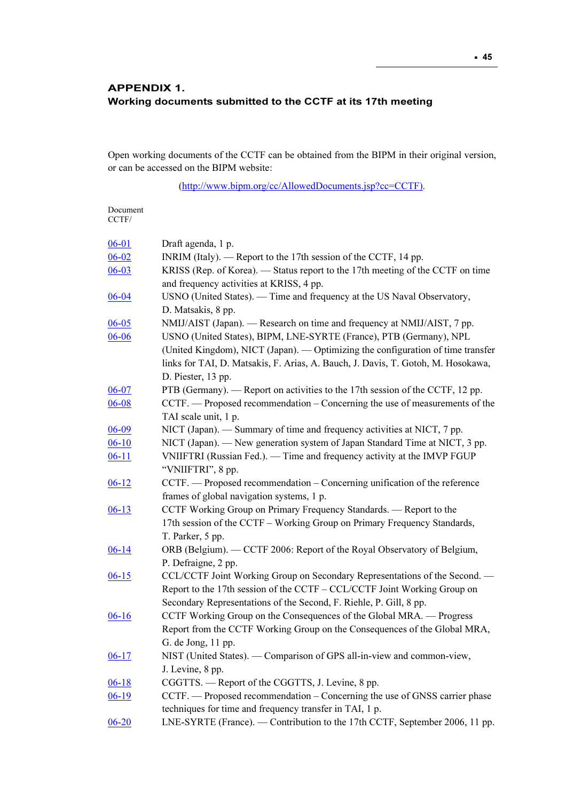## APPENDIX 1. Working documents submitted to the CCTF at its 17th meeting

Open working documents of the CCTF can be obtained from the BIPM in their original version, or can be accessed on the BIPM website:

[\(http://www.bipm.org/cc/AllowedDocuments.jsp?cc=CCTF\)](https://www.bipm.org/cc/AllowedDocuments.jsp?cc=CCTF).

| 06-01     | Draft agenda, 1 p.                                                               |
|-----------|----------------------------------------------------------------------------------|
| $06 - 02$ | INRIM (Italy). — Report to the 17th session of the CCTF, 14 pp.                  |
| $06 - 03$ | KRISS (Rep. of Korea). — Status report to the 17th meeting of the CCTF on time   |
|           | and frequency activities at KRISS, 4 pp.                                         |
| $06 - 04$ | USNO (United States). — Time and frequency at the US Naval Observatory,          |
|           | D. Matsakis, 8 pp.                                                               |
| $06 - 05$ | NMIJ/AIST (Japan). — Research on time and frequency at NMIJ/AIST, 7 pp.          |
| 06-06     | USNO (United States), BIPM, LNE-SYRTE (France), PTB (Germany), NPL               |
|           | (United Kingdom), NICT (Japan). — Optimizing the configuration of time transfer  |
|           | links for TAI, D. Matsakis, F. Arias, A. Bauch, J. Davis, T. Gotoh, M. Hosokawa, |
|           | D. Piester, 13 pp.                                                               |
| $06 - 07$ | PTB (Germany). — Report on activities to the 17th session of the CCTF, 12 pp.    |
| $06 - 08$ | CCTF. — Proposed recommendation – Concerning the use of measurements of the      |
|           | TAI scale unit, 1 p.                                                             |
| $06 - 09$ | NICT (Japan). — Summary of time and frequency activities at NICT, 7 pp.          |
| $06-10$   | NICT (Japan). — New generation system of Japan Standard Time at NICT, 3 pp.      |
| $06 - 11$ | VNIIFTRI (Russian Fed.). — Time and frequency activity at the IMVP FGUP          |
|           | "VNIIFTRI", 8 pp.                                                                |
| $06 - 12$ | CCTF. — Proposed recommendation – Concerning unification of the reference        |
|           | frames of global navigation systems, 1 p.                                        |
| $06 - 13$ | CCTF Working Group on Primary Frequency Standards. - Report to the               |
|           | 17th session of the CCTF - Working Group on Primary Frequency Standards,         |
|           | T. Parker, 5 pp.                                                                 |
| $06 - 14$ | ORB (Belgium). - CCTF 2006: Report of the Royal Observatory of Belgium,          |
|           | P. Defraigne, 2 pp.                                                              |
| $06 - 15$ | CCL/CCTF Joint Working Group on Secondary Representations of the Second. -       |
|           | Report to the 17th session of the CCTF - CCL/CCTF Joint Working Group on         |
|           | Secondary Representations of the Second, F. Riehle, P. Gill, 8 pp.               |
| $06 - 16$ | CCTF Working Group on the Consequences of the Global MRA. - Progress             |
|           | Report from the CCTF Working Group on the Consequences of the Global MRA,        |
|           | G. de Jong, 11 pp.                                                               |
| $06 - 17$ | NIST (United States). — Comparison of GPS all-in-view and common-view,           |
|           | J. Levine, 8 pp.                                                                 |
| $06 - 18$ | CGGTTS. — Report of the CGGTTS, J. Levine, 8 pp.                                 |
| $06 - 19$ | CCTF. — Proposed recommendation – Concerning the use of GNSS carrier phase       |
|           | techniques for time and frequency transfer in TAI, 1 p.                          |
| $06 - 20$ | LNE-SYRTE (France). — Contribution to the 17th CCTF, September 2006, 11 pp.      |